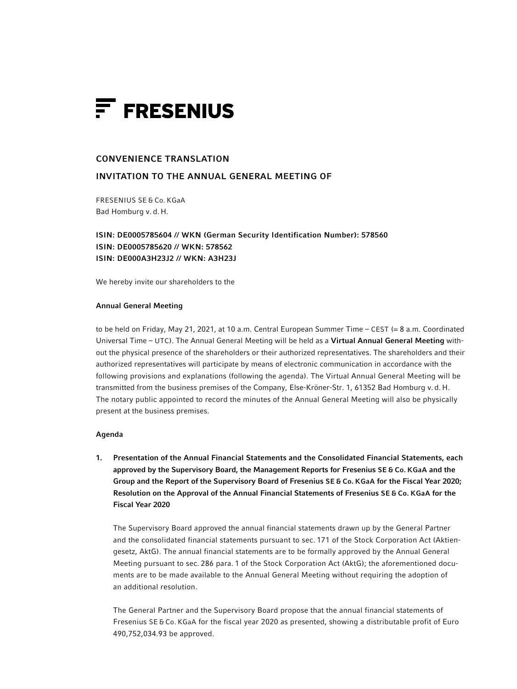

# CONVENIENCE TRANSLATION

# INVITATION TO THE ANNUAL GENERAL MEETING OF

FRESENIUS SE & Co. KGaA Bad Homburg v. d. H.

ISIN: DE0005785604 // WKN (German Security Identification Number): 578560 ISIN: DE0005785620 // WKN: 578562 ISIN: DE000A3H23J2 // WKN: A3H23J

We hereby invite our shareholders to the

### Annual General Meeting

to be held on Friday, May 21, 2021, at 10 a.m. Central European Summer Time – CEST (= 8 a.m. Coordinated Universal Time - UTC). The Annual General Meeting will be held as a Virtual Annual General Meeting without the physical presence of the shareholders or their authorized representatives. The shareholders and their authorized representatives will participate by means of electronic communication in accordance with the following provisions and explanations (following the agenda). The Virtual Annual General Meeting will be transmitted from the business premises of the Company, Else-Kröner-Str. 1, 61352 Bad Homburg v. d. H. The notary public appointed to record the minutes of the Annual General Meeting will also be physically present at the business premises.

## Agenda

1. Presentation of the Annual Financial Statements and the Consolidated Financial Statements, each approved by the Supervisory Board, the Management Reports for Fresenius SE & Co. KGaA and the Group and the Report of the Supervisory Board of Fresenius SE & Co. KGaA for the Fiscal Year 2020; Resolution on the Approval of the Annual Financial Statements of Fresenius SE & Co. KGaA for the Fiscal Year 2020

The Supervisory Board approved the annual financial statements drawn up by the General Partner and the consolidated financial statements pursuant to sec. 171 of the Stock Corporation Act (Aktiengesetz, AktG). The annual financial statements are to be formally approved by the Annual General Meeting pursuant to sec. 286 para. 1 of the Stock Corporation Act (AktG); the aforementioned documents are to be made available to the Annual General Meeting without requiring the adoption of an additional resolution.

The General Partner and the Supervisory Board propose that the annual financial statements of Fresenius SE & Co. KGaA for the fiscal year 2020 as presented, showing a distributable profit of Euro 490,752,034.93 be approved.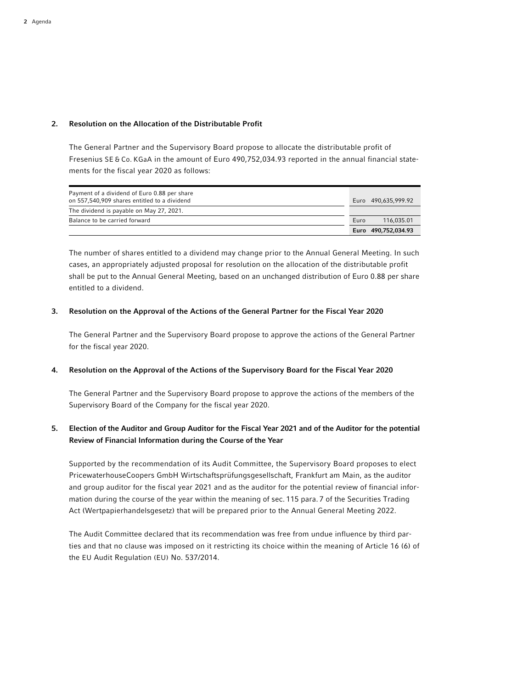# 2. Resolution on the Allocation of the Distributable Profit

The General Partner and the Supervisory Board propose to allocate the distributable profit of Fresenius SE & Co. KGaA in the amount of Euro 490,752,034.93 reported in the annual financial statements for the fiscal year 2020 as follows:

| Payment of a dividend of Euro 0.88 per share |      |                     |
|----------------------------------------------|------|---------------------|
| on 557,540,909 shares entitled to a dividend |      | Euro 490.635.999.92 |
| The dividend is payable on May 27, 2021.     |      |                     |
| Balance to be carried forward                | Euro | 116.035.01          |
|                                              |      | Euro 490,752,034.93 |

 The number of shares entitled to a dividend may change prior to the Annual General Meeting. In such cases, an appropriately adjusted proposal for resolution on the allocation of the distributable profit shall be put to the Annual General Meeting, based on an unchanged distribution of Euro 0.88 per share entitled to a dividend.

# 3. Resolution on the Approval of the Actions of the General Partner for the Fiscal Year 2020

 The General Partner and the Supervisory Board propose to approve the actions of the General Partner for the fiscal year 2020.

# 4. Resolution on the Approval of the Actions of the Supervisory Board for the Fiscal Year 2020

 The General Partner and the Supervisory Board propose to approve the actions of the members of the Supervisory Board of the Company for the fiscal year 2020.

# 5. Election of the Auditor and Group Auditor for the Fiscal Year 2021 and of the Auditor for the potential Review of Financial Information during the Course of the Year

 Supported by the recommendation of its Audit Committee, the Supervisory Board proposes to elect PricewaterhouseCoopers GmbH Wirtschaftsprüfungsgesellschaft, Frankfurt am Main, as the auditor and group auditor for the fiscal year 2021 and as the auditor for the potential review of financial information during the course of the year within the meaning of sec. 115 para. 7 of the Securities Trading Act (Wertpapierhandelsgesetz) that will be prepared prior to the Annual General Meeting 2022.

The Audit Committee declared that its recommendation was free from undue influence by third parties and that no clause was imposed on it restricting its choice within the meaning of Article 16 (6) of the EU Audit Regulation (EU) No. 537/2014.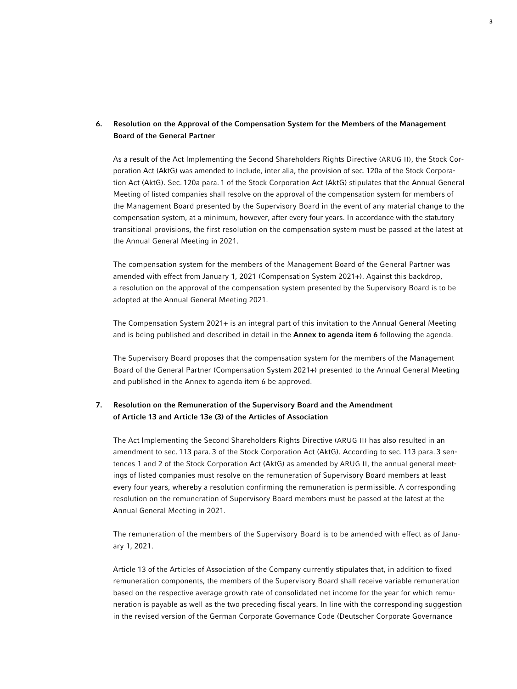# 6. Resolution on the Approval of the Compensation System for the Members of the Management Board of the General Partner

 As a result of the Act Implementing the Second Shareholders Rights Directive (ARUG II), the Stock Corporation Act (AktG) was amended to include, inter alia, the provision of sec. 120a of the Stock Corporation Act (AktG). Sec. 120a para. 1 of the Stock Corporation Act (AktG) stipulates that the Annual General Meeting of listed companies shall resolve on the approval of the compensation system for members of the Management Board presented by the Supervisory Board in the event of any material change to the compensation system, at a minimum, however, after every four years. In accordance with the statutory transitional provisions, the first resolution on the compensation system must be passed at the latest at the Annual General Meeting in 2021.

 The compensation system for the members of the Management Board of the General Partner was amended with effect from January 1, 2021 (Compensation System 2021+). Against this backdrop, a resolution on the approval of the compensation system presented by the Supervisory Board is to be adopted at the Annual General Meeting 2021.

 The Compensation System 2021+ is an integral part of this invitation to the Annual General Meeting and is being published and described in detail in the **Annex to agenda item 6** following the agenda.

 The Supervisory Board proposes that the compensation system for the members of the Management Board of the General Partner (Compensation System 2021+) presented to the Annual General Meeting and published in the Annex to agenda item 6 be approved.

# 7. Resolution on the Remuneration of the Supervisory Board and the Amendment of Article 13 and Article 13e (3) of the Articles of Association

 The Act Implementing the Second Shareholders Rights Directive (ARUG II) has also resulted in an amendment to sec. 113 para. 3 of the Stock Corporation Act (AktG). According to sec. 113 para. 3 sentences 1 and 2 of the Stock Corporation Act (AktG) as amended by ARUG II, the annual general meetings of listed companies must resolve on the remuneration of Supervisory Board members at least every four years, whereby a resolution confirming the remuneration is permissible. A corresponding resolution on the remuneration of Supervisory Board members must be passed at the latest at the Annual General Meeting in 2021.

 The remuneration of the members of the Supervisory Board is to be amended with effect as of January 1, 2021.

 Article 13 of the Articles of Association of the Company currently stipulates that, in addition to fixed remuneration components, the members of the Supervisory Board shall receive variable remuneration based on the respective average growth rate of consolidated net income for the year for which remuneration is payable as well as the two preceding fiscal years. In line with the corresponding suggestion in the revised version of the German Corporate Governance Code (Deutscher Corporate Governance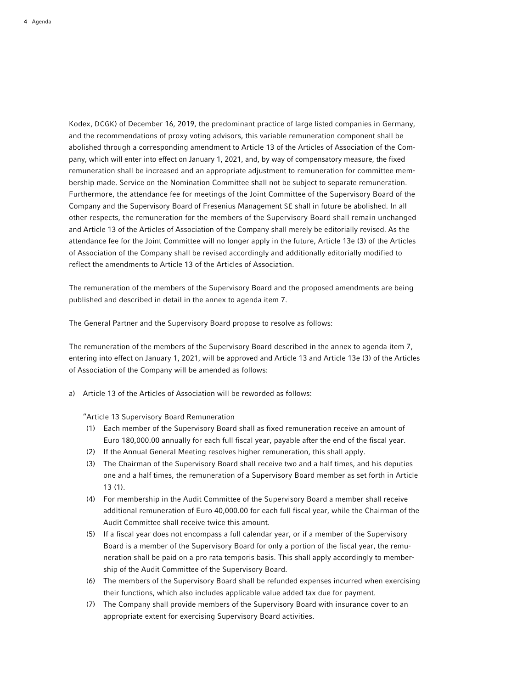Kodex, DCGK) of December 16, 2019, the predominant practice of large listed companies in Germany, and the recommendations of proxy voting advisors, this variable remuneration component shall be abolished through a corresponding amendment to Article 13 of the Articles of Association of the Company, which will enter into effect on January 1, 2021, and, by way of compensatory measure, the fixed remuneration shall be increased and an appropriate adjustment to remuneration for committee membership made. Service on the Nomination Committee shall not be subject to separate remuneration. Furthermore, the attendance fee for meetings of the Joint Committee of the Supervisory Board of the Company and the Supervisory Board of Fresenius Management SE shall in future be abolished. In all other respects, the remuneration for the members of the Supervisory Board shall remain unchanged and Article 13 of the Articles of Association of the Company shall merely be editorially revised. As the attendance fee for the Joint Committee will no longer apply in the future, Article 13e (3) of the Articles of Association of the Company shall be revised accordingly and additionally editorially modified to reflect the amendments to Article 13 of the Articles of Association.

 The remuneration of the members of the Supervisory Board and the proposed amendments are being published and described in detail in the annex to agenda item 7.

The General Partner and the Supervisory Board propose to resolve as follows:

 The remuneration of the members of the Supervisory Board described in the annex to agenda item 7, entering into effect on January 1, 2021, will be approved and Article 13 and Article 13e (3) of the Articles of Association of the Company will be amended as follows:

a) Article 13 of the Articles of Association will be reworded as follows:

"Article 13 Supervisory Board Remuneration

- (1) Each member of the Supervisory Board shall as fixed remuneration receive an amount of Euro 180,000.00 annually for each full fiscal year, payable after the end of the fiscal year.
- (2) If the Annual General Meeting resolves higher remuneration, this shall apply.
- (3) The Chairman of the Supervisory Board shall receive two and a half times, and his deputies one and a half times, the remuneration of a Supervisory Board member as set forth in Article 13 (1).
- (4) For membership in the Audit Committee of the Supervisory Board a member shall receive additional remuneration of Euro 40,000.00 for each full fiscal year, while the Chairman of the Audit Committee shall receive twice this amount.
- (5) If a fiscal year does not encompass a full calendar year, or if a member of the Supervisory Board is a member of the Supervisory Board for only a portion of the fiscal year, the remuneration shall be paid on a pro rata temporis basis. This shall apply accordingly to membership of the Audit Committee of the Supervisory Board.
- (6) The members of the Supervisory Board shall be refunded expenses incurred when exercising their functions, which also includes applicable value added tax due for payment.
- (7) The Company shall provide members of the Supervisory Board with insurance cover to an appropriate extent for exercising Supervisory Board activities.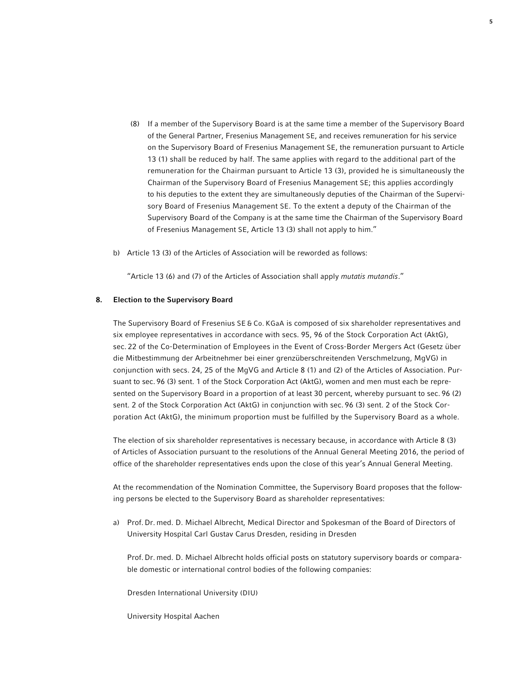- (8) If a member of the Supervisory Board is at the same time a member of the Supervisory Board of the General Partner, Fresenius Management SE, and receives remuneration for his service on the Supervisory Board of Fresenius Management SE, the remuneration pursuant to Article 13 (1) shall be reduced by half. The same applies with regard to the additional part of the remuneration for the Chairman pursuant to Article 13 (3), provided he is simultaneously the Chairman of the Supervisory Board of Fresenius Management SE; this applies accordingly to his deputies to the extent they are simultaneously deputies of the Chairman of the Supervisory Board of Fresenius Management SE. To the extent a deputy of the Chairman of the Supervisory Board of the Company is at the same time the Chairman of the Supervisory Board of Fresenius Management SE, Article 13 (3) shall not apply to him."
- b) Article 13 (3) of the Articles of Association will be reworded as follows:

"Article 13 (6) and (7) of the Articles of Association shall apply *mutatis mutandis*."

#### 8. Election to the Supervisory Board

 The Supervisory Board of Fresenius SE & Co. KGaA is composed of six shareholder representatives and six employee representatives in accordance with secs. 95, 96 of the Stock Corporation Act (AktG), sec. 22 of the Co-Determination of Employees in the Event of Cross-Border Mergers Act (Gesetz über die Mitbestimmung der Arbeitnehmer bei einer grenzüberschreitenden Verschmelzung, MgVG) in conjunction with secs. 24, 25 of the MgVG and Article 8 (1) and (2) of the Articles of Association. Pursuant to sec. 96 (3) sent. 1 of the Stock Corporation Act (AktG), women and men must each be represented on the Supervisory Board in a proportion of at least 30 percent, whereby pursuant to sec. 96 (2) sent. 2 of the Stock Corporation Act (AktG) in conjunction with sec. 96 (3) sent. 2 of the Stock Corporation Act (AktG), the minimum proportion must be fulfilled by the Supervisory Board as a whole.

 The election of six shareholder representatives is necessary because, in accordance with Article 8 (3) of Articles of Association pursuant to the resolutions of the Annual General Meeting 2016, the period of office of the shareholder representatives ends upon the close of this year's Annual General Meeting.

 At the recommendation of the Nomination Committee, the Supervisory Board proposes that the following persons be elected to the Supervisory Board as shareholder representatives:

a) Prof. Dr. med. D. Michael Albrecht, Medical Director and Spokesman of the Board of Directors of University Hospital Carl Gustav Carus Dresden, residing in Dresden

 Prof. Dr. med. D. Michael Albrecht holds official posts on statutory supervisory boards or comparable domestic or international control bodies of the following companies:

Dresden International University (DIU)

University Hospital Aachen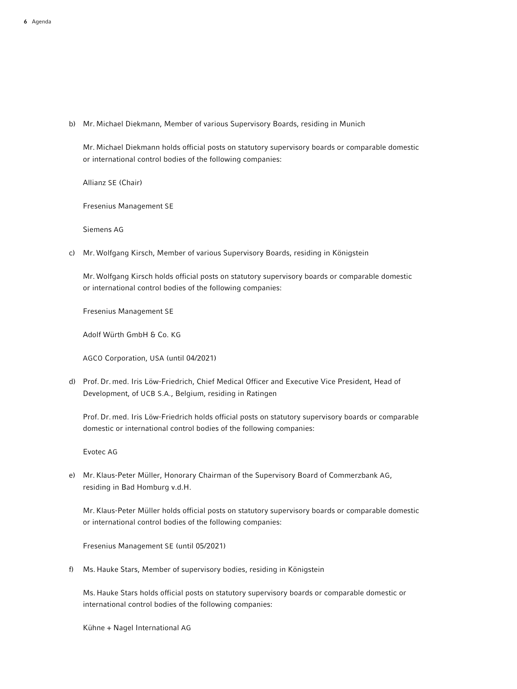b) Mr. Michael Diekmann, Member of various Supervisory Boards, residing in Munich

 Mr. Michael Diekmann holds official posts on statutory supervisory boards or comparable domestic or international control bodies of the following companies:

Allianz SE (Chair)

Fresenius Management SE

Siemens AG

c) Mr. Wolfgang Kirsch, Member of various Supervisory Boards, residing in Königstein

 Mr. Wolfgang Kirsch holds official posts on statutory supervisory boards or comparable domestic or international control bodies of the following companies:

Fresenius Management SE

Adolf Würth GmbH & Co. KG

AGCO Corporation, USA (until 04/2021)

d) Prof. Dr. med. Iris Löw-Friedrich, Chief Medical Officer and Executive Vice President, Head of Development, of UCB S.A., Belgium, residing in Ratingen

 Prof. Dr. med. Iris Löw-Friedrich holds official posts on statutory supervisory boards or comparable domestic or international control bodies of the following companies:

Evotec AG

e) Mr. Klaus-Peter Müller, Honorary Chairman of the Supervisory Board of Commerzbank AG, residing in Bad Homburg v.d.H.

 Mr. Klaus-Peter Müller holds official posts on statutory supervisory boards or comparable domestic or international control bodies of the following companies:

Fresenius Management SE (until 05/2021)

f) Ms. Hauke Stars, Member of supervisory bodies, residing in Königstein

 Ms. Hauke Stars holds official posts on statutory supervisory boards or comparable domestic or international control bodies of the following companies:

Kühne + Nagel International AG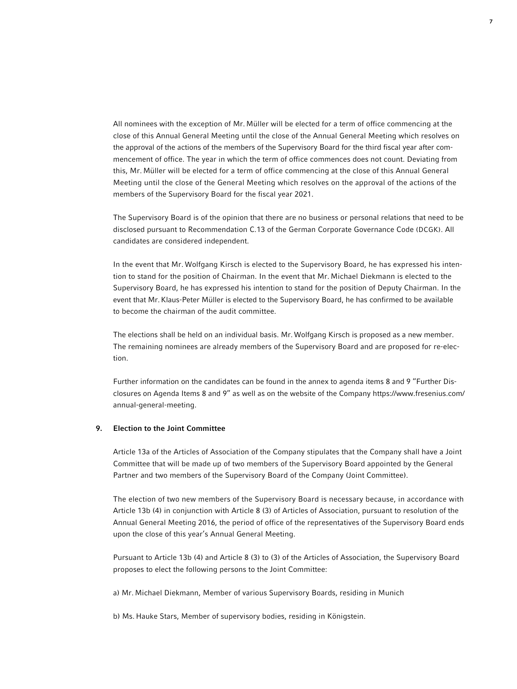All nominees with the exception of Mr. Müller will be elected for a term of office commencing at the close of this Annual General Meeting until the close of the Annual General Meeting which resolves on the approval of the actions of the members of the Supervisory Board for the third fiscal year after commencement of office. The year in which the term of office commences does not count. Deviating from this, Mr. Müller will be elected for a term of office commencing at the close of this Annual General Meeting until the close of the General Meeting which resolves on the approval of the actions of the members of the Supervisory Board for the fiscal year 2021.

 The Supervisory Board is of the opinion that there are no business or personal relations that need to be disclosed pursuant to Recommendation C.13 of the German Corporate Governance Code (DCGK). All candidates are considered independent.

 In the event that Mr. Wolfgang Kirsch is elected to the Supervisory Board, he has expressed his intention to stand for the position of Chairman. In the event that Mr. Michael Diekmann is elected to the Supervisory Board, he has expressed his intention to stand for the position of Deputy Chairman. In the event that Mr.Klaus-Peter Müller is elected to the Supervisory Board, he has confirmed to be available to become the chairman of the audit committee.

 The elections shall be held on an individual basis. Mr.Wolfgang Kirsch is proposed as a new member. The remaining nominees are already members of the Supervisory Board and are proposed for re-election.

 Further information on the candidates can be found in the annex to agenda items 8 and 9 "Further Disclosures on Agenda Items 8 and 9" as well as on the website of the Company https://www.fresenius.com/ annual-general-meeting.

# 9. Election to the Joint Committee

 Article 13a of the Articles of Association of the Company stipulates that the Company shall have a Joint Committee that will be made up of two members of the Supervisory Board appointed by the General Partner and two members of the Supervisory Board of the Company (Joint Committee).

 The election of two new members of the Supervisory Board is necessary because, in accordance with Article 13b (4) in conjunction with Article 8 (3) of Articles of Association, pursuant to resolution of the Annual General Meeting 2016, the period of office of the representatives of the Supervisory Board ends upon the close of this year's Annual General Meeting.

 Pursuant to Article 13b (4) and Article 8 (3) to (3) of the Articles of Association, the Supervisory Board proposes to elect the following persons to the Joint Committee:

a) Mr. Michael Diekmann, Member of various Supervisory Boards, residing in Munich

b) Ms. Hauke Stars, Member of supervisory bodies, residing in Königstein.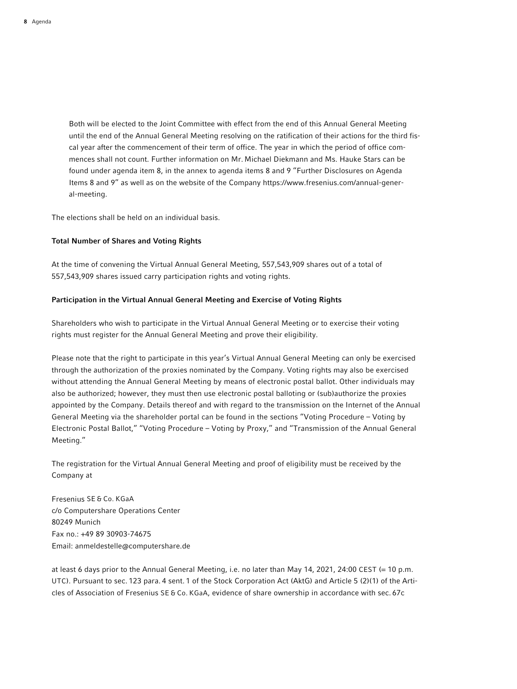Both will be elected to the Joint Committee with effect from the end of this Annual General Meeting until the end of the Annual General Meeting resolving on the ratification of their actions for the third fiscal year after the commencement of their term of office. The year in which the period of office commences shall not count. Further information on Mr. Michael Diekmann and Ms. Hauke Stars can be found under agenda item 8, in the annex to agenda items 8 and 9 "Further Disclosures on Agenda Items 8 and 9" as well as on the website of the Company https://www.fresenius.com/annual-general-meeting.

The elections shall be held on an individual basis.

# Total Number of Shares and Voting Rights

At the time of convening the Virtual Annual General Meeting, 557,543,909 shares out of a total of 557,543,909 shares issued carry participation rights and voting rights.

# Participation in the Virtual Annual General Meeting and Exercise of Voting Rights

Shareholders who wish to participate in the Virtual Annual General Meeting or to exercise their voting rights must register for the Annual General Meeting and prove their eligibility.

Please note that the right to participate in this year's Virtual Annual General Meeting can only be exercised through the authorization of the proxies nominated by the Company. Voting rights may also be exercised without attending the Annual General Meeting by means of electronic postal ballot. Other individuals may also be authorized; however, they must then use electronic postal balloting or (sub)authorize the proxies appointed by the Company. Details thereof and with regard to the transmission on the Internet of the Annual General Meeting via the shareholder portal can be found in the sections "Voting Procedure – Voting by Electronic Postal Ballot," "Voting Procedure – Voting by Proxy," and "Transmission of the Annual General Meeting."

The registration for the Virtual Annual General Meeting and proof of eligibility must be received by the Company at

Fresenius SE & Co. KGaA c/o Computershare Operations Center 80249 Munich Fax no.: +49 89 30903-74675 Email: anmeldestelle@computershare.de

at least 6 days prior to the Annual General Meeting, i.e. no later than May 14, 2021, 24:00 CEST (= 10 p.m. UTC). Pursuant to sec. 123 para. 4 sent. 1 of the Stock Corporation Act (AktG) and Article 5 (2)(1) of the Articles of Association of Fresenius SE & Co. KGaA, evidence of share ownership in accordance with sec. 67c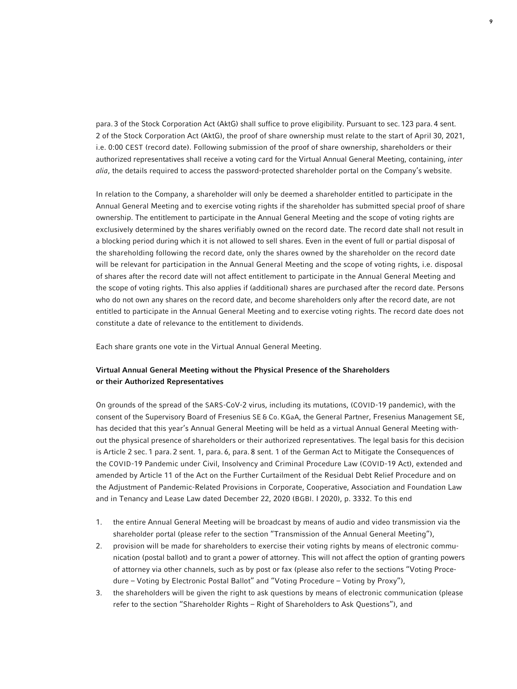para. 3 of the Stock Corporation Act (AktG) shall suffice to prove eligibility. Pursuant to sec. 123 para. 4 sent. 2 of the Stock Corporation Act (AktG), the proof of share ownership must relate to the start of April 30, 2021, i.e. 0:00 CEST (record date). Following submission of the proof of share ownership, shareholders or their authorized representatives shall receive a voting card for the Virtual Annual General Meeting, containing, *inter alia*, the details required to access the password-protected shareholder portal on the Company's website.

In relation to the Company, a shareholder will only be deemed a shareholder entitled to participate in the Annual General Meeting and to exercise voting rights if the shareholder has submitted special proof of share ownership. The entitlement to participate in the Annual General Meeting and the scope of voting rights are exclusively determined by the shares verifiably owned on the record date. The record date shall not result in a blocking period during which it is not allowed to sell shares. Even in the event of full or partial disposal of the shareholding following the record date, only the shares owned by the shareholder on the record date will be relevant for participation in the Annual General Meeting and the scope of voting rights, i.e. disposal of shares after the record date will not affect entitlement to participate in the Annual General Meeting and the scope of voting rights. This also applies if (additional) shares are purchased after the record date. Persons who do not own any shares on the record date, and become shareholders only after the record date, are not entitled to participate in the Annual General Meeting and to exercise voting rights. The record date does not constitute a date of relevance to the entitlement to dividends.

Each share grants one vote in the Virtual Annual General Meeting.

# Virtual Annual General Meeting without the Physical Presence of the Shareholders or their Authorized Representatives

On grounds of the spread of the SARS-CoV-2 virus, including its mutations, (COVID-19 pandemic), with the consent of the Supervisory Board of Fresenius SE & Co. KGaA, the General Partner, Fresenius Management SE, has decided that this year's Annual General Meeting will be held as a virtual Annual General Meeting without the physical presence of shareholders or their authorized representatives. The legal basis for this decision is Article 2 sec. 1 para. 2 sent. 1, para. 6, para. 8 sent. 1 of the German Act to Mitigate the Consequences of the COVID-19 Pandemic under Civil, Insolvency and Criminal Procedure Law (COVID-19 Act), extended and amended by Article 11 of the Act on the Further Curtailment of the Residual Debt Relief Procedure and on the Adjustment of Pandemic-Related Provisions in Corporate, Cooperative, Association and Foundation Law and in Tenancy and Lease Law dated December 22, 2020 (BGBl. I 2020), p. 3332. To this end

- 1. the entire Annual General Meeting will be broadcast by means of audio and video transmission via the shareholder portal (please refer to the section "Transmission of the Annual General Meeting"),
- 2. provision will be made for shareholders to exercise their voting rights by means of electronic communication (postal ballot) and to grant a power of attorney. This will not affect the option of granting powers of attorney via other channels, such as by post or fax (please also refer to the sections "Voting Procedure – Voting by Electronic Postal Ballot" and "Voting Procedure – Voting by Proxy"),
- 3. the shareholders will be given the right to ask questions by means of electronic communication (please refer to the section "Shareholder Rights – Right of Shareholders to Ask Questions"), and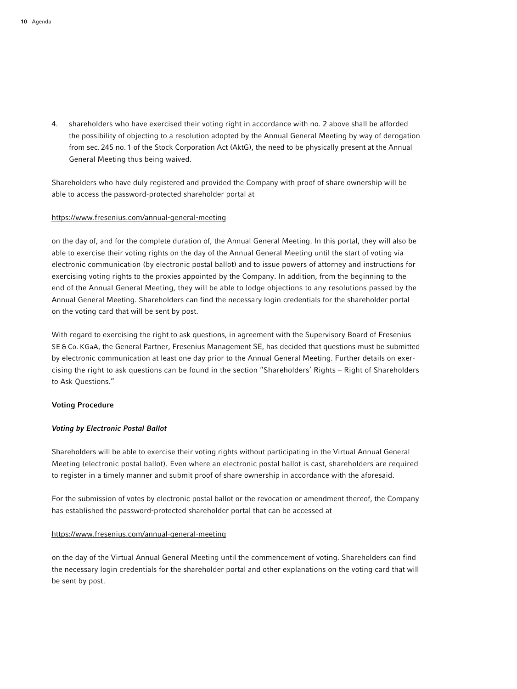4. shareholders who have exercised their voting right in accordance with no. 2 above shall be afforded the possibility of objecting to a resolution adopted by the Annual General Meeting by way of derogation from sec. 245 no. 1 of the Stock Corporation Act (AktG), the need to be physically present at the Annual General Meeting thus being waived.

Shareholders who have duly registered and provided the Company with proof of share ownership will be able to access the password-protected shareholder portal at

# https://www.fresenius.com/annual-general-meeting

on the day of, and for the complete duration of, the Annual General Meeting. In this portal, they will also be able to exercise their voting rights on the day of the Annual General Meeting until the start of voting via electronic communication (by electronic postal ballot) and to issue powers of attorney and instructions for exercising voting rights to the proxies appointed by the Company. In addition, from the beginning to the end of the Annual General Meeting, they will be able to lodge objections to any resolutions passed by the Annual General Meeting. Shareholders can find the necessary login credentials for the shareholder portal on the voting card that will be sent by post.

With regard to exercising the right to ask questions, in agreement with the Supervisory Board of Fresenius SE & Co. KGaA, the General Partner, Fresenius Management SE, has decided that questions must be submitted by electronic communication at least one day prior to the Annual General Meeting. Further details on exercising the right to ask questions can be found in the section "Shareholders' Rights – Right of Shareholders to Ask Questions."

# Voting Procedure

# *Voting by Electronic Postal Ballot*

Shareholders will be able to exercise their voting rights without participating in the Virtual Annual General Meeting (electronic postal ballot). Even where an electronic postal ballot is cast, shareholders are required to register in a timely manner and submit proof of share ownership in accordance with the aforesaid.

For the submission of votes by electronic postal ballot or the revocation or amendment thereof, the Company has established the password-protected shareholder portal that can be accessed at

### https://www.fresenius.com/annual-general-meeting

on the day of the Virtual Annual General Meeting until the commencement of voting. Shareholders can find the necessary login credentials for the shareholder portal and other explanations on the voting card that will be sent by post.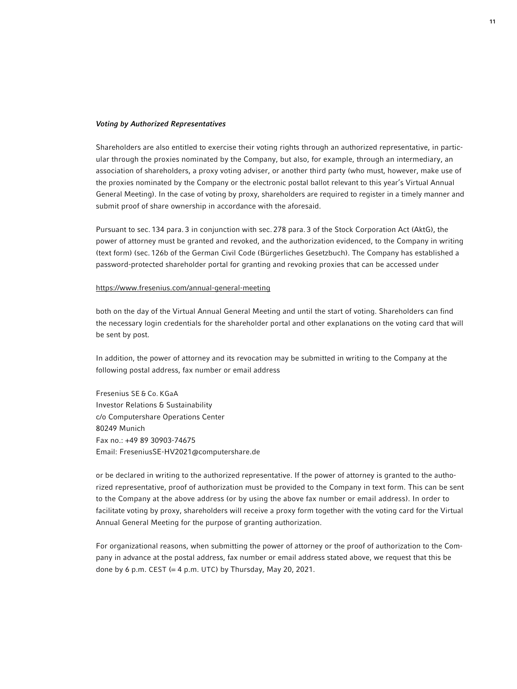#### *Voting by Authorized Representatives*

Shareholders are also entitled to exercise their voting rights through an authorized representative, in particular through the proxies nominated by the Company, but also, for example, through an intermediary, an association of shareholders, a proxy voting adviser, or another third party (who must, however, make use of the proxies nominated by the Company or the electronic postal ballot relevant to this year's Virtual Annual General Meeting). In the case of voting by proxy, shareholders are required to register in a timely manner and submit proof of share ownership in accordance with the aforesaid.

Pursuant to sec. 134 para. 3 in conjunction with sec. 278 para. 3 of the Stock Corporation Act (AktG), the power of attorney must be granted and revoked, and the authorization evidenced, to the Company in writing (text form) (sec. 126b of the German Civil Code (Bürgerliches Gesetzbuch). The Company has established a password-protected shareholder portal for granting and revoking proxies that can be accessed under

### https://www.fresenius.com/annual-general-meeting

both on the day of the Virtual Annual General Meeting and until the start of voting. Shareholders can find the necessary login credentials for the shareholder portal and other explanations on the voting card that will be sent by post.

In addition, the power of attorney and its revocation may be submitted in writing to the Company at the following postal address, fax number or email address

Fresenius SE & Co. KGaA Investor Relations & Sustainability c/o Computershare Operations Center 80249 Munich Fax no.: +49 89 30903-74675 Email: FreseniusSE-HV2021@computershare.de

or be declared in writing to the authorized representative. If the power of attorney is granted to the authorized representative, proof of authorization must be provided to the Company in text form. This can be sent to the Company at the above address (or by using the above fax number or email address). In order to facilitate voting by proxy, shareholders will receive a proxy form together with the voting card for the Virtual Annual General Meeting for the purpose of granting authorization.

For organizational reasons, when submitting the power of attorney or the proof of authorization to the Company in advance at the postal address, fax number or email address stated above, we request that this be done by 6 p.m. CEST  $(= 4 \text{ p.m. } UTC)$  by Thursday, May 20, 2021.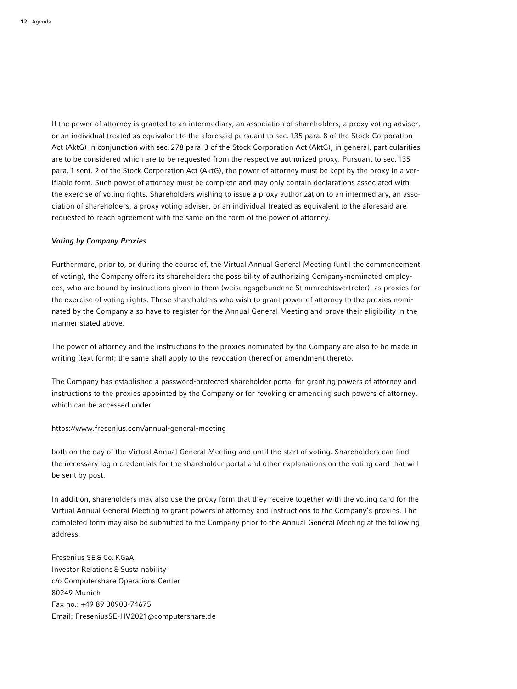If the power of attorney is granted to an intermediary, an association of shareholders, a proxy voting adviser, or an individual treated as equivalent to the aforesaid pursuant to sec. 135 para. 8 of the Stock Corporation Act (AktG) in conjunction with sec. 278 para. 3 of the Stock Corporation Act (AktG), in general, particularities are to be considered which are to be requested from the respective authorized proxy. Pursuant to sec. 135 para. 1 sent. 2 of the Stock Corporation Act (AktG), the power of attorney must be kept by the proxy in a verifiable form. Such power of attorney must be complete and may only contain declarations associated with the exercise of voting rights. Shareholders wishing to issue a proxy authorization to an intermediary, an association of shareholders, a proxy voting adviser, or an individual treated as equivalent to the aforesaid are requested to reach agreement with the same on the form of the power of attorney.

#### *Voting by Company Proxies*

Furthermore, prior to, or during the course of, the Virtual Annual General Meeting (until the commencement of voting), the Company offers its shareholders the possibility of authorizing Company-nominated employees, who are bound by instructions given to them (weisungsgebundene Stimmrechtsvertreter), as proxies for the exercise of voting rights. Those shareholders who wish to grant power of attorney to the proxies nominated by the Company also have to register for the Annual General Meeting and prove their eligibility in the manner stated above.

The power of attorney and the instructions to the proxies nominated by the Company are also to be made in writing (text form); the same shall apply to the revocation thereof or amendment thereto.

The Company has established a password-protected shareholder portal for granting powers of attorney and instructions to the proxies appointed by the Company or for revoking or amending such powers of attorney, which can be accessed under

### https://www.fresenius.com/annual-general-meeting

both on the day of the Virtual Annual General Meeting and until the start of voting. Shareholders can find the necessary login credentials for the shareholder portal and other explanations on the voting card that will be sent by post.

In addition, shareholders may also use the proxy form that they receive together with the voting card for the Virtual Annual General Meeting to grant powers of attorney and instructions to the Company's proxies. The completed form may also be submitted to the Company prior to the Annual General Meeting at the following address:

Fresenius SE & Co. KGaA Investor Relations & Sustainability c/o Computershare Operations Center 80249 Munich Fax no.: +49 89 30903-74675 Email: FreseniusSE-HV2021@computershare.de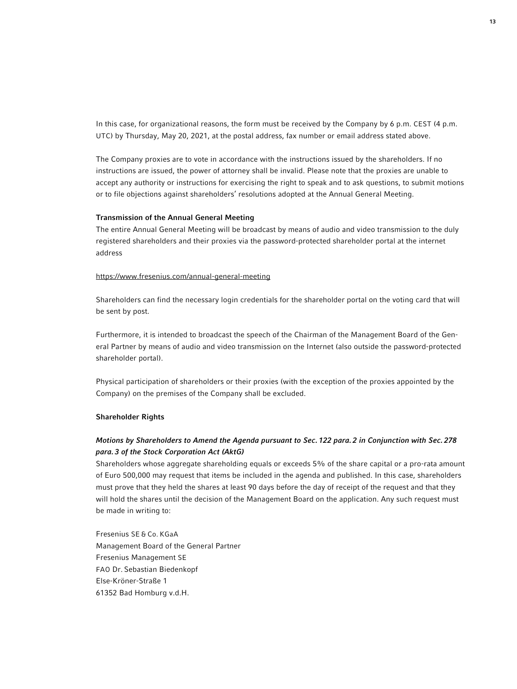In this case, for organizational reasons, the form must be received by the Company by 6 p.m. CEST (4 p.m. UTC) by Thursday, May 20, 2021, at the postal address, fax number or email address stated above.

The Company proxies are to vote in accordance with the instructions issued by the shareholders. If no instructions are issued, the power of attorney shall be invalid. Please note that the proxies are unable to accept any authority or instructions for exercising the right to speak and to ask questions, to submit motions or to file objections against shareholders' resolutions adopted at the Annual General Meeting.

#### Transmission of the Annual General Meeting

The entire Annual General Meeting will be broadcast by means of audio and video transmission to the duly registered shareholders and their proxies via the password-protected shareholder portal at the internet address

#### https://www.fresenius.com/annual-general-meeting

Shareholders can find the necessary login credentials for the shareholder portal on the voting card that will be sent by post.

Furthermore, it is intended to broadcast the speech of the Chairman of the Management Board of the General Partner by means of audio and video transmission on the Internet (also outside the password-protected shareholder portal).

Physical participation of shareholders or their proxies (with the exception of the proxies appointed by the Company) on the premises of the Company shall be excluded.

# Shareholder Rights

# *Motions by Shareholders to Amend the Agenda pursuant to Sec. 122 para. 2 in Conjunction with Sec. 278 para. 3 of the Stock Corporation Act (AktG)*

Shareholders whose aggregate shareholding equals or exceeds 5% of the share capital or a pro-rata amount of Euro 500,000 may request that items be included in the agenda and published. In this case, shareholders must prove that they held the shares at least 90 days before the day of receipt of the request and that they will hold the shares until the decision of the Management Board on the application. Any such request must be made in writing to:

Fresenius SE & Co. KGaA Management Board of the General Partner Fresenius Management SE FAO Dr. Sebastian Biedenkopf Else-Kröner-Straße 1 61352 Bad Homburg v.d.H.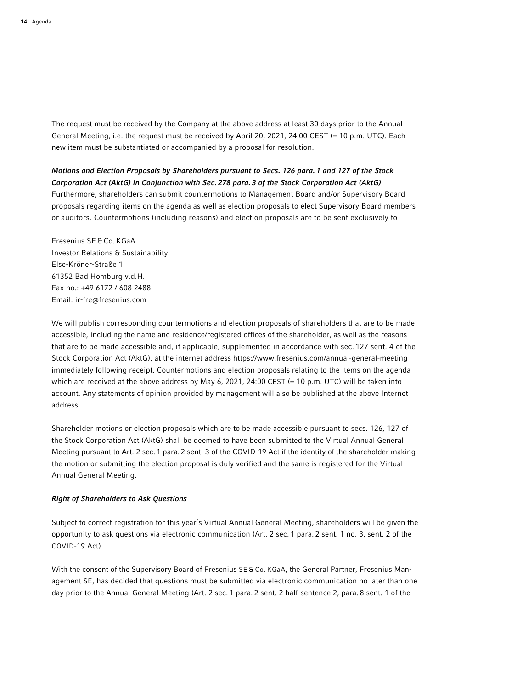The request must be received by the Company at the above address at least 30 days prior to the Annual General Meeting, i.e. the request must be received by April 20, 2021, 24:00 CEST (= 10 p.m. UTC). Each new item must be substantiated or accompanied by a proposal for resolution.

# *Motions and Election Proposals by Shareholders pursuant to Secs. 126 para. 1 and 127 of the Stock Corporation Act (AktG) in Conjunction with Sec. 278 para. 3 of the Stock Corporation Act (AktG)* Furthermore, shareholders can submit countermotions to Management Board and/or Supervisory Board proposals regarding items on the agenda as well as election proposals to elect Supervisory Board members or auditors. Countermotions (including reasons) and election proposals are to be sent exclusively to

Fresenius SE&Co. KGaA Investor Relations & Sustainability Else-Kröner-Straße 1 61352 Bad Homburg v.d.H. Fax no.: +49 6172 / 608 2488 Email: ir-fre@fresenius.com

We will publish corresponding countermotions and election proposals of shareholders that are to be made accessible, including the name and residence/registered offices of the shareholder, as well as the reasons that are to be made accessible and, if applicable, supplemented in accordance with sec. 127 sent. 4 of the Stock Corporation Act (AktG), at the internet address https://www.fresenius.com/annual-general-meeting immediately following receipt. Countermotions and election proposals relating to the items on the agenda which are received at the above address by May 6, 2021, 24:00 CEST (= 10 p.m. UTC) will be taken into account. Any statements of opinion provided by management will also be published at the above Internet address.

Shareholder motions or election proposals which are to be made accessible pursuant to secs. 126, 127 of the Stock Corporation Act (AktG) shall be deemed to have been submitted to the Virtual Annual General Meeting pursuant to Art. 2 sec. 1 para. 2 sent. 3 of the COVID-19 Act if the identity of the shareholder making the motion or submitting the election proposal is duly verified and the same is registered for the Virtual Annual General Meeting.

# *Right of Shareholders to Ask Questions*

Subject to correct registration for this year's Virtual Annual General Meeting, shareholders will be given the opportunity to ask questions via electronic communication (Art. 2 sec. 1 para. 2 sent. 1 no. 3, sent. 2 of the COVID-19 Act).

With the consent of the Supervisory Board of Fresenius SE & Co. KGaA, the General Partner, Fresenius Management SE, has decided that questions must be submitted via electronic communication no later than one day prior to the Annual General Meeting (Art. 2 sec. 1 para. 2 sent. 2 half-sentence 2, para. 8 sent. 1 of the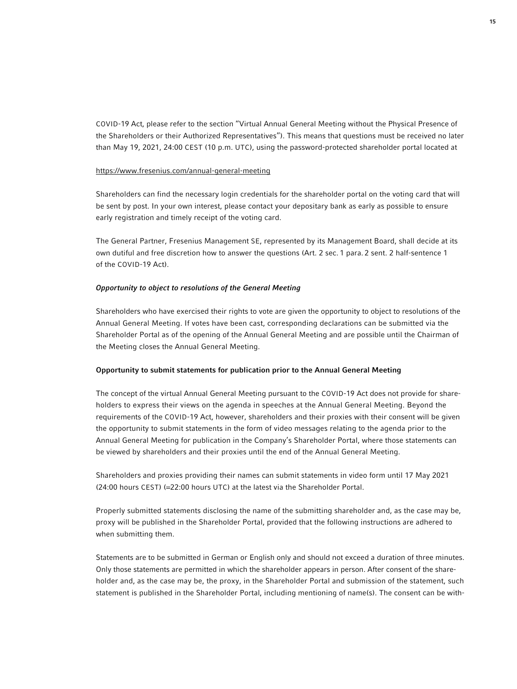COVID-19 Act, please refer to the section "Virtual Annual General Meeting without the Physical Presence of the Shareholders or their Authorized Representatives"). This means that questions must be received no later than May 19, 2021, 24:00 CEST (10 p.m. UTC), using the password-protected shareholder portal located at

### https://www.fresenius.com/annual-general-meeting

Shareholders can find the necessary login credentials for the shareholder portal on the voting card that will be sent by post. In your own interest, please contact your depositary bank as early as possible to ensure early registration and timely receipt of the voting card.

The General Partner, Fresenius Management SE, represented by its Management Board, shall decide at its own dutiful and free discretion how to answer the questions (Art. 2 sec. 1 para. 2 sent. 2 half-sentence 1 of the COVID-19 Act).

## *Opportunity to object to resolutions of the General Meeting*

Shareholders who have exercised their rights to vote are given the opportunity to object to resolutions of the Annual General Meeting. If votes have been cast, corresponding declarations can be submitted via the Shareholder Portal as of the opening of the Annual General Meeting and are possible until the Chairman of the Meeting closes the Annual General Meeting.

# Opportunity to submit statements for publication prior to the Annual General Meeting

The concept of the virtual Annual General Meeting pursuant to the COVID-19 Act does not provide for shareholders to express their views on the agenda in speeches at the Annual General Meeting. Beyond the requirements of the COVID-19 Act, however, shareholders and their proxies with their consent will be given the opportunity to submit statements in the form of video messages relating to the agenda prior to the Annual General Meeting for publication in the Company's Shareholder Portal, where those statements can be viewed by shareholders and their proxies until the end of the Annual General Meeting.

Shareholders and proxies providing their names can submit statements in video form until 17 May 2021 (24:00 hours CEST) (=22:00 hours UTC) at the latest via the Shareholder Portal.

Properly submitted statements disclosing the name of the submitting shareholder and, as the case may be, proxy will be published in the Shareholder Portal, provided that the following instructions are adhered to when submitting them.

Statements are to be submitted in German or English only and should not exceed a duration of three minutes. Only those statements are permitted in which the shareholder appears in person. After consent of the shareholder and, as the case may be, the proxy, in the Shareholder Portal and submission of the statement, such statement is published in the Shareholder Portal, including mentioning of name(s). The consent can be with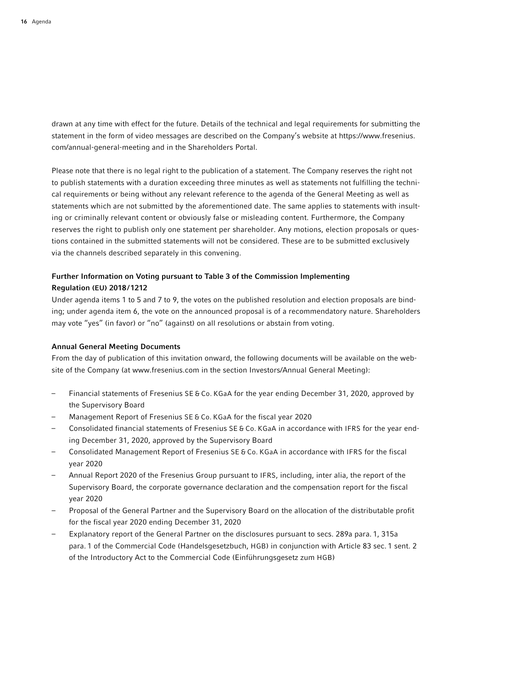drawn at any time with effect for the future. Details of the technical and legal requirements for submitting the statement in the form of video messages are described on the Company's website at https://www.fresenius. com/annual-general-meeting and in the Shareholders Portal.

Please note that there is no legal right to the publication of a statement. The Company reserves the right not to publish statements with a duration exceeding three minutes as well as statements not fulfilling the technical requirements or being without any relevant reference to the agenda of the General Meeting as well as statements which are not submitted by the aforementioned date. The same applies to statements with insulting or criminally relevant content or obviously false or misleading content. Furthermore, the Company reserves the right to publish only one statement per shareholder. Any motions, election proposals or questions contained in the submitted statements will not be considered. These are to be submitted exclusively via the channels described separately in this convening.

# Further Information on Voting pursuant to Table 3 of the Commission Implementing Regulation (EU) 2018/1212

Under agenda items 1 to 5 and 7 to 9, the votes on the published resolution and election proposals are binding; under agenda item 6, the vote on the announced proposal is of a recommendatory nature. Shareholders may vote "yes" (in favor) or "no" (against) on all resolutions or abstain from voting.

## Annual General Meeting Documents

From the day of publication of this invitation onward, the following documents will be available on the website of the Company (at www.fresenius.com in the section Investors/Annual General Meeting):

- Financial statements of Fresenius SE & Co. KGaA for the year ending December 31, 2020, approved by the Supervisory Board
- Management Report of Fresenius SE & Co. KGaA for the fiscal year 2020
- Consolidated financial statements of Fresenius SE & Co. KGaA in accordance with IFRS for the year ending December 31, 2020, approved by the Supervisory Board
- Consolidated Management Report of Fresenius SE & Co. KGaA in accordance with IFRS for the fiscal year 2020
- Annual Report 2020 of the Fresenius Group pursuant to IFRS, including, inter alia, the report of the Supervisory Board, the corporate governance declaration and the compensation report for the fiscal year 2020
- Proposal of the General Partner and the Supervisory Board on the allocation of the distributable profit for the fiscal year 2020 ending December 31, 2020
- Explanatory report of the General Partner on the disclosures pursuant to secs. 289a para. 1, 315a para. 1 of the Commercial Code (Handelsgesetzbuch, HGB) in conjunction with Article 83 sec. 1 sent. 2 of the Introductory Act to the Commercial Code (Einführungsgesetz zum HGB)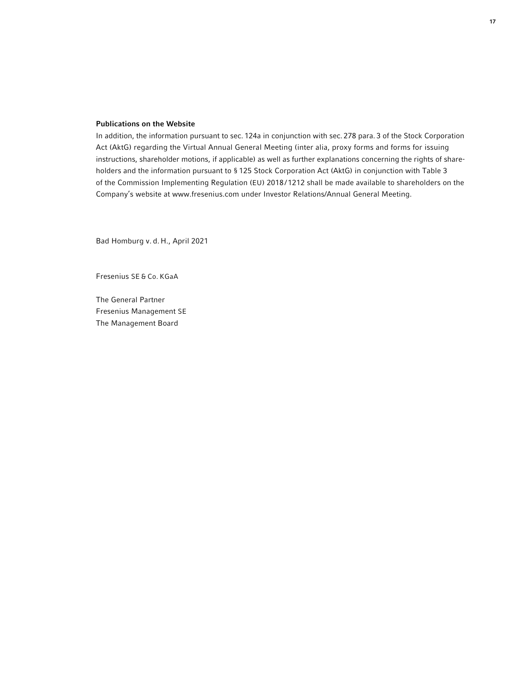# Publications on the Website

In addition, the information pursuant to sec. 124a in conjunction with sec. 278 para. 3 of the Stock Corporation Act (AktG) regarding the Virtual Annual General Meeting (inter alia, proxy forms and forms for issuing instructions, shareholder motions, if applicable) as well as further explanations concerning the rights of shareholders and the information pursuant to § 125 Stock Corporation Act (AktG) in conjunction with Table 3 of the Commission Implementing Regulation (EU) 2018/1212 shall be made available to shareholders on the Company's website at www.fresenius.com under Investor Relations/Annual General Meeting.

Bad Homburg v. d. H., April 2021

Fresenius SE & Co. KGaA

The General Partner Fresenius Management SE The Management Board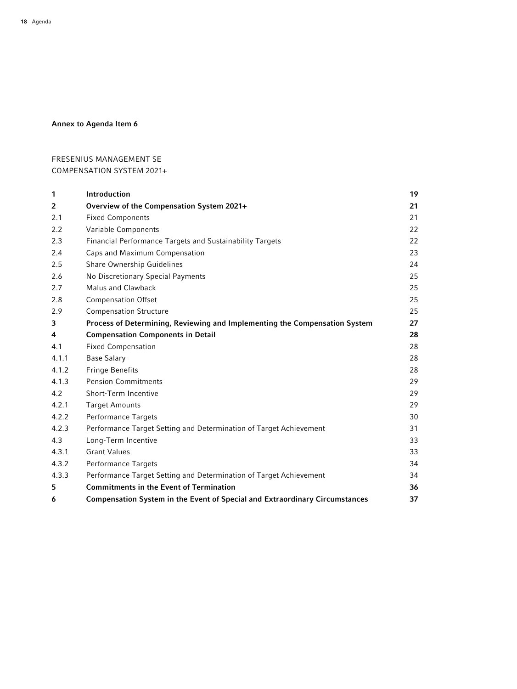# Annex to Agenda Item 6

# FRESENIUS MANAGEMENT SE COMPENSATION SYSTEM 2021+

| 1              | Introduction                                                                       | 19 |
|----------------|------------------------------------------------------------------------------------|----|
| $\overline{2}$ | Overview of the Compensation System 2021+                                          | 21 |
| 2.1            | <b>Fixed Components</b>                                                            | 21 |
| 2.2            | Variable Components                                                                | 22 |
| 2.3            | Financial Performance Targets and Sustainability Targets                           | 22 |
| 2.4            | Caps and Maximum Compensation                                                      | 23 |
| 2.5            | Share Ownership Guidelines                                                         | 24 |
| 2.6            | No Discretionary Special Payments                                                  | 25 |
| 2.7            | <b>Malus and Clawback</b>                                                          | 25 |
| 2.8            | <b>Compensation Offset</b>                                                         | 25 |
| 2.9            | <b>Compensation Structure</b>                                                      | 25 |
| 3              | Process of Determining, Reviewing and Implementing the Compensation System         | 27 |
| 4              | <b>Compensation Components in Detail</b>                                           | 28 |
| 4.1            | <b>Fixed Compensation</b>                                                          | 28 |
| 4.1.1          | <b>Base Salary</b>                                                                 | 28 |
| 4.1.2          | <b>Fringe Benefits</b>                                                             | 28 |
| 4.1.3          | <b>Pension Commitments</b>                                                         | 29 |
| 4.2            | <b>Short-Term Incentive</b>                                                        | 29 |
| 4.2.1          | <b>Target Amounts</b>                                                              | 29 |
| 4.2.2          | <b>Performance Targets</b>                                                         | 30 |
| 4.2.3          | Performance Target Setting and Determination of Target Achievement                 | 31 |
| 4.3            | Long-Term Incentive                                                                | 33 |
| 4.3.1          | <b>Grant Values</b>                                                                | 33 |
| 4.3.2          | <b>Performance Targets</b>                                                         | 34 |
| 4.3.3          | Performance Target Setting and Determination of Target Achievement                 | 34 |
| 5              | <b>Commitments in the Event of Termination</b>                                     | 36 |
| 6              | <b>Compensation System in the Event of Special and Extraordinary Circumstances</b> | 37 |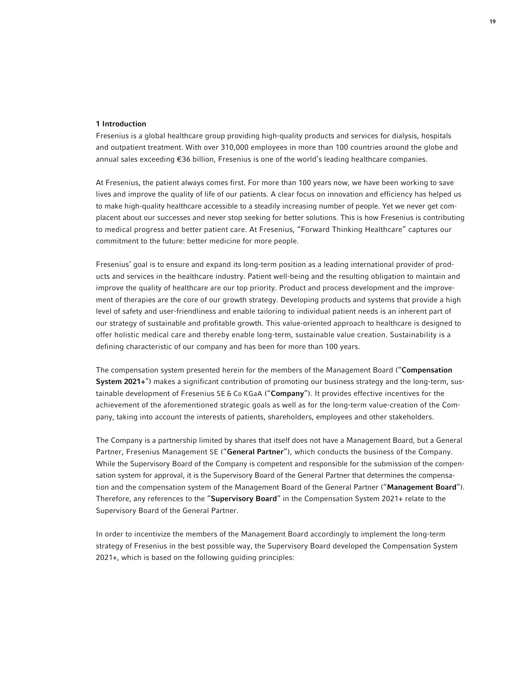## 1 Introduction

Fresenius is a global healthcare group providing high-quality products and services for dialysis, hospitals and outpatient treatment. With over 310,000 employees in more than 100 countries around the globe and annual sales exceeding €36 billion, Fresenius is one of the world's leading healthcare companies.

At Fresenius, the patient always comes first. For more than 100 years now, we have been working to save lives and improve the quality of life of our patients. A clear focus on innovation and efficiency has helped us to make high-quality healthcare accessible to a steadily increasing number of people. Yet we never get complacent about our successes and never stop seeking for better solutions. This is how Fresenius is contributing to medical progress and better patient care. At Fresenius, "Forward Thinking Healthcare" captures our commitment to the future: better medicine for more people.

Fresenius' goal is to ensure and expand its long-term position as a leading international provider of products and services in the healthcare industry. Patient well-being and the resulting obligation to maintain and improve the quality of healthcare are our top priority. Product and process development and the improvement of therapies are the core of our growth strategy. Developing products and systems that provide a high level of safety and user-friendliness and enable tailoring to individual patient needs is an inherent part of our strategy of sustainable and profitable growth. This value-oriented approach to healthcare is designed to offer holistic medical care and thereby enable long-term, sustainable value creation. Sustainability is a defining characteristic of our company and has been for more than 100 years.

The compensation system presented herein for the members of the Management Board ("Compensation System 2021+") makes a significant contribution of promoting our business strategy and the long-term, sustainable development of Fresenius SE & Co KGaA ("Company"). It provides effective incentives for the achievement of the aforementioned strategic goals as well as for the long-term value-creation of the Company, taking into account the interests of patients, shareholders, employees and other stakeholders.

The Company is a partnership limited by shares that itself does not have a Management Board, but a General Partner, Fresenius Management SE ("General Partner"), which conducts the business of the Company. While the Supervisory Board of the Company is competent and responsible for the submission of the compensation system for approval, it is the Supervisory Board of the General Partner that determines the compensation and the compensation system of the Management Board of the General Partner ("Management Board"). Therefore, any references to the "Supervisory Board" in the Compensation System 2021+ relate to the Supervisory Board of the General Partner.

In order to incentivize the members of the Management Board accordingly to implement the long-term strategy of Fresenius in the best possible way, the Supervisory Board developed the Compensation System 2021+, which is based on the following guiding principles: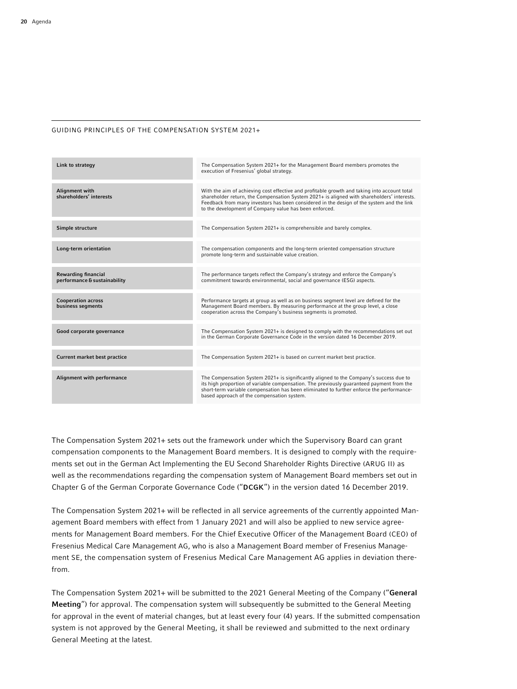#### GUIDING PRINCIPLES OF THE COMPENSATION SYSTEM 2021+

| Link to strategy                                           | The Compensation System 2021+ for the Management Board members promotes the<br>execution of Fresenius' global strategy.                                                                                                                                                                                                                           |
|------------------------------------------------------------|---------------------------------------------------------------------------------------------------------------------------------------------------------------------------------------------------------------------------------------------------------------------------------------------------------------------------------------------------|
| <b>Alignment with</b><br>shareholders' interests           | With the aim of achieving cost effective and profitable growth and taking into account total<br>shareholder return, the Compensation System 2021+ is aligned with shareholders' interests.<br>Feedback from many investors has been considered in the design of the system and the link<br>to the development of Company value has been enforced. |
| Simple structure                                           | The Compensation System 2021+ is comprehensible and barely complex.                                                                                                                                                                                                                                                                               |
| Long-term orientation                                      | The compensation components and the long-term oriented compensation structure<br>promote long-term and sustainable value creation.                                                                                                                                                                                                                |
| <b>Rewarding financial</b><br>performance & sustainability | The performance targets reflect the Company's strategy and enforce the Company's<br>commitment towards environmental, social and governance (ESG) aspects.                                                                                                                                                                                        |
| <b>Cooperation across</b><br>business segments             | Performance targets at group as well as on business segment level are defined for the<br>Management Board members. By measuring performance at the group level, a close<br>cooperation across the Company's business segments is promoted.                                                                                                        |
| Good corporate governance                                  | The Compensation System 2021+ is designed to comply with the recommendations set out<br>in the German Corporate Governance Code in the version dated 16 December 2019.                                                                                                                                                                            |
| Current market best practice                               | The Compensation System 2021+ is based on current market best practice.                                                                                                                                                                                                                                                                           |
| Alignment with performance                                 | The Compensation System 2021+ is significantly aligned to the Company's success due to<br>its high proportion of variable compensation. The previously quaranteed payment from the<br>short-term variable compensation has been eliminated to further enforce the performance-<br>based approach of the compensation system.                      |

The Compensation System 2021+ sets out the framework under which the Supervisory Board can grant compensation components to the Management Board members. It is designed to comply with the requirements set out in the German Act Implementing the EU Second Shareholder Rights Directive (ARUG II) as well as the recommendations regarding the compensation system of Management Board members set out in Chapter G of the German Corporate Governance Code ("DCGK") in the version dated 16 December 2019.

The Compensation System 2021+ will be reflected in all service agreements of the currently appointed Management Board members with effect from 1 January 2021 and will also be applied to new service agreements for Management Board members. For the Chief Executive Officer of the Management Board (CEO) of Fresenius Medical Care Management AG, who is also a Management Board member of Fresenius Management SE, the compensation system of Fresenius Medical Care Management AG applies in deviation therefrom.

The Compensation System 2021+ will be submitted to the 2021 General Meeting of the Company ("General Meeting") for approval. The compensation system will subsequently be submitted to the General Meeting for approval in the event of material changes, but at least every four (4) years. If the submitted compensation system is not approved by the General Meeting, it shall be reviewed and submitted to the next ordinary General Meeting at the latest.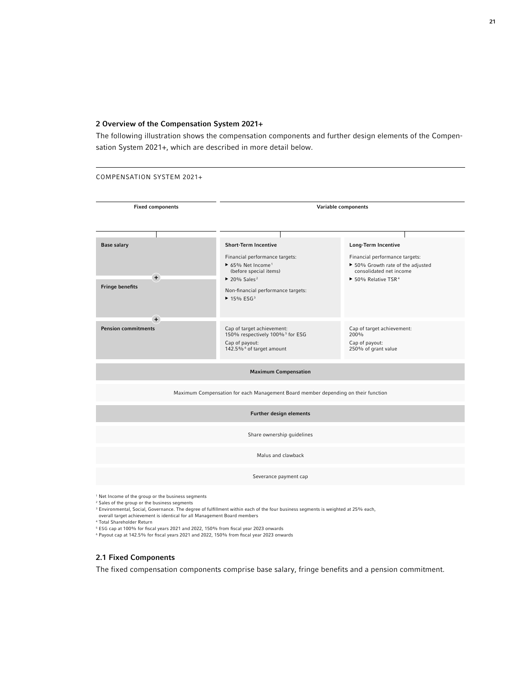# 2 Overview of the Compensation System 2021+

The following illustration shows the compensation components and further design elements of the Compensation System 2021+, which are described in more detail below.



- <sup>3</sup> Environmental, Social, Governance. The degree of fulfillment within each of the four business segments is weighted at 25% each,
- overall target achievement is identical for all Management Board members
- <sup>4</sup> Total Shareholder Return
- <sup>5</sup> ESG cap at 100% for fiscal years 2021 and 2022, 150% from fiscal year 2023 onwards
- <sup>6</sup> Payout cap at 142.5% for fiscal years 2021 and 2022, 150% from fiscal year 2023 onwards

# 2.1 Fixed Components

The fixed compensation components comprise base salary, fringe benefits and a pension commitment.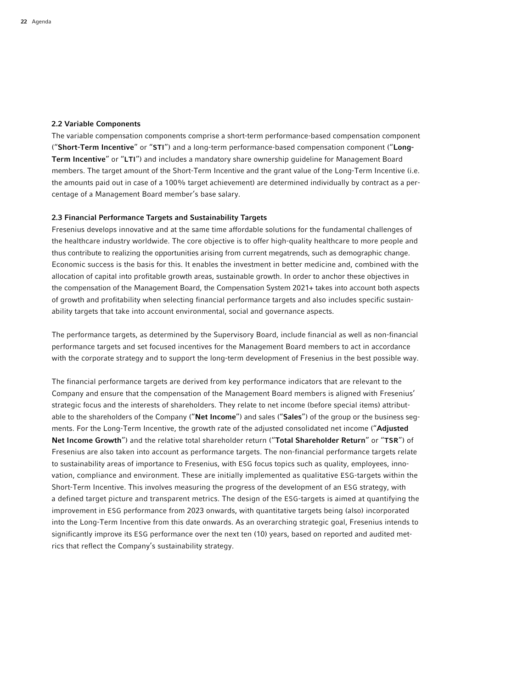# 2.2 Variable Components

The variable compensation components comprise a short-term performance-based compensation component ("Short-Term Incentive" or "STI") and a long-term performance-based compensation component ("Long-Term Incentive" or "LTI") and includes a mandatory share ownership guideline for Management Board members. The target amount of the Short-Term Incentive and the grant value of the Long-Term Incentive (i.e. the amounts paid out in case of a 100% target achievement) are determined individually by contract as a percentage of a Management Board member's base salary.

### 2.3 Financial Performance Targets and Sustainability Targets

Fresenius develops innovative and at the same time affordable solutions for the fundamental challenges of the healthcare industry worldwide. The core objective is to offer high-quality healthcare to more people and thus contribute to realizing the opportunities arising from current megatrends, such as demographic change. Economic success is the basis for this. It enables the investment in better medicine and, combined with the allocation of capital into profitable growth areas, sustainable growth. In order to anchor these objectives in the compensation of the Management Board, the Compensation System 2021+ takes into account both aspects of growth and profitability when selecting financial performance targets and also includes specific sustainability targets that take into account environmental, social and governance aspects.

The performance targets, as determined by the Supervisory Board, include financial as well as non-financial performance targets and set focused incentives for the Management Board members to act in accordance with the corporate strategy and to support the long-term development of Fresenius in the best possible way.

The financial performance targets are derived from key performance indicators that are relevant to the Company and ensure that the compensation of the Management Board members is aligned with Fresenius' strategic focus and the interests of shareholders. They relate to net income (before special items) attributable to the shareholders of the Company ("Net Income") and sales ("Sales") of the group or the business segments. For the Long-Term Incentive, the growth rate of the adjusted consolidated net income ("Adjusted Net Income Growth") and the relative total shareholder return ("Total Shareholder Return" or "TSR") of Fresenius are also taken into account as performance targets. The non-financial performance targets relate to sustainability areas of importance to Fresenius, with ESG focus topics such as quality, employees, innovation, compliance and environment. These are initially implemented as qualitative ESG-targets within the Short-Term Incentive. This involves measuring the progress of the development of an ESG strategy, with a defined target picture and transparent metrics. The design of the ESG-targets is aimed at quantifying the improvement in ESG performance from 2023 onwards, with quantitative targets being (also) incorporated into the Long-Term Incentive from this date onwards. As an overarching strategic goal, Fresenius intends to significantly improve its ESG performance over the next ten (10) years, based on reported and audited metrics that reflect the Company's sustainability strategy.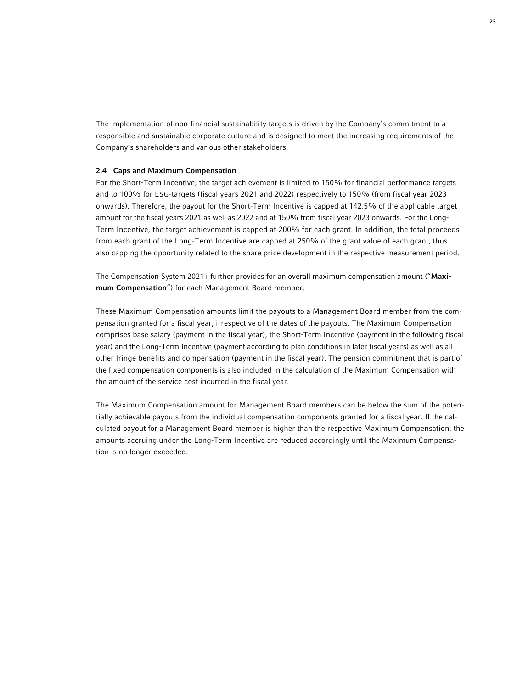The implementation of non-financial sustainability targets is driven by the Company's commitment to a responsible and sustainable corporate culture and is designed to meet the increasing requirements of the Company's shareholders and various other stakeholders.

# 2.4 Caps and Maximum Compensation

For the Short-Term Incentive, the target achievement is limited to 150% for financial performance targets and to 100% for ESG-targets (fiscal years 2021 and 2022) respectively to 150% (from fiscal year 2023 onwards). Therefore, the payout for the Short-Term Incentive is capped at 142.5% of the applicable target amount for the fiscal years 2021 as well as 2022 and at 150% from fiscal year 2023 onwards. For the Long-Term Incentive, the target achievement is capped at 200% for each grant. In addition, the total proceeds from each grant of the Long-Term Incentive are capped at 250% of the grant value of each grant, thus also capping the opportunity related to the share price development in the respective measurement period.

The Compensation System 2021+ further provides for an overall maximum compensation amount ("Maximum Compensation") for each Management Board member.

These Maximum Compensation amounts limit the payouts to a Management Board member from the compensation granted for a fiscal year, irrespective of the dates of the payouts. The Maximum Compensation comprises base salary (payment in the fiscal year), the Short-Term Incentive (payment in the following fiscal year) and the Long-Term Incentive (payment according to plan conditions in later fiscal years) as well as all other fringe benefits and compensation (payment in the fiscal year). The pension commitment that is part of the fixed compensation components is also included in the calculation of the Maximum Compensation with the amount of the service cost incurred in the fiscal year.

The Maximum Compensation amount for Management Board members can be below the sum of the potentially achievable payouts from the individual compensation components granted for a fiscal year. If the calculated payout for a Management Board member is higher than the respective Maximum Compensation, the amounts accruing under the Long-Term Incentive are reduced accordingly until the Maximum Compensation is no longer exceeded.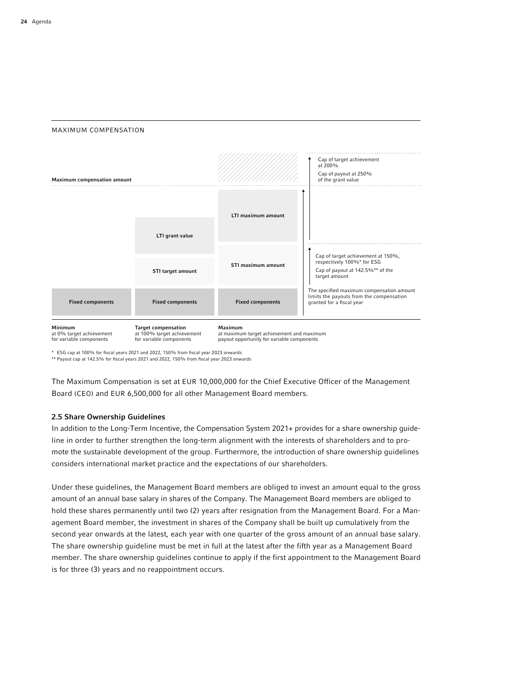



\* ESG cap at 100% for fiscal years 2021 and 2022, 150% from fiscal year 2023 onwards

\*\* Payout cap at 142.5% for fiscal years 2021 and 2022, 150% from fiscal year 2023 onwards

The Maximum Compensation is set at EUR 10,000,000 for the Chief Executive Officer of the Management Board (CEO) and EUR 6,500,000 for all other Management Board members.

## 2.5 Share Ownership Guidelines

In addition to the Long-Term Incentive, the Compensation System 2021+ provides for a share ownership guideline in order to further strengthen the long-term alignment with the interests of shareholders and to promote the sustainable development of the group. Furthermore, the introduction of share ownership guidelines considers international market practice and the expectations of our shareholders.

Under these guidelines, the Management Board members are obliged to invest an amount equal to the gross amount of an annual base salary in shares of the Company. The Management Board members are obliged to hold these shares permanently until two (2) years after resignation from the Management Board. For a Management Board member, the investment in shares of the Company shall be built up cumulatively from the second year onwards at the latest, each year with one quarter of the gross amount of an annual base salary. The share ownership guideline must be met in full at the latest after the fifth year as a Management Board member. The share ownership guidelines continue to apply if the first appointment to the Management Board is for three (3) years and no reappointment occurs.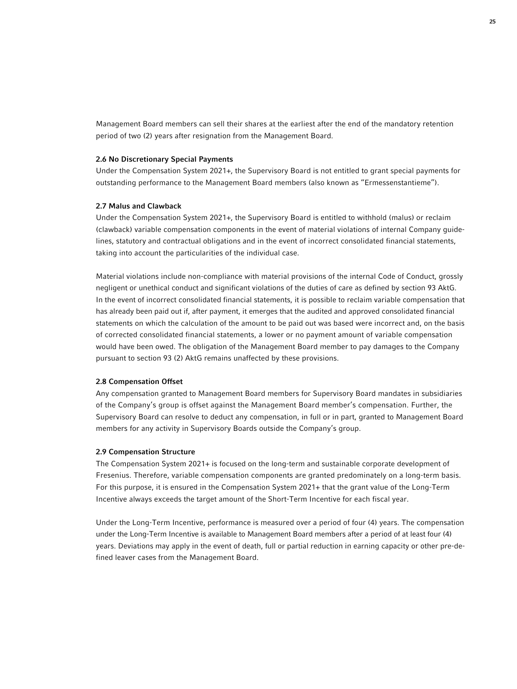Management Board members can sell their shares at the earliest after the end of the mandatory retention period of two (2) years after resignation from the Management Board.

#### 2.6 No Discretionary Special Payments

Under the Compensation System 2021+, the Supervisory Board is not entitled to grant special payments for outstanding performance to the Management Board members (also known as "Ermessenstantieme").

#### 2.7 Malus and Clawback

Under the Compensation System 2021+, the Supervisory Board is entitled to withhold (malus) or reclaim (clawback) variable compensation components in the event of material violations of internal Company guidelines, statutory and contractual obligations and in the event of incorrect consolidated financial statements, taking into account the particularities of the individual case.

Material violations include non-compliance with material provisions of the internal Code of Conduct, grossly negligent or unethical conduct and significant violations of the duties of care as defined by section 93 AktG. In the event of incorrect consolidated financial statements, it is possible to reclaim variable compensation that has already been paid out if, after payment, it emerges that the audited and approved consolidated financial statements on which the calculation of the amount to be paid out was based were incorrect and, on the basis of corrected consolidated financial statements, a lower or no payment amount of variable compensation would have been owed. The obligation of the Management Board member to pay damages to the Company pursuant to section 93 (2) AktG remains unaffected by these provisions.

### 2.8 Compensation Offset

Any compensation granted to Management Board members for Supervisory Board mandates in subsidiaries of the Company's group is offset against the Management Board member's compensation. Further, the Supervisory Board can resolve to deduct any compensation, in full or in part, granted to Management Board members for any activity in Supervisory Boards outside the Company's group.

#### 2.9 Compensation Structure

The Compensation System 2021+ is focused on the long-term and sustainable corporate development of Fresenius. Therefore, variable compensation components are granted predominately on a long-term basis. For this purpose, it is ensured in the Compensation System 2021+ that the grant value of the Long-Term Incentive always exceeds the target amount of the Short-Term Incentive for each fiscal year.

Under the Long-Term Incentive, performance is measured over a period of four (4) years. The compensation under the Long-Term Incentive is available to Management Board members after a period of at least four (4) years. Deviations may apply in the event of death, full or partial reduction in earning capacity or other pre-defined leaver cases from the Management Board.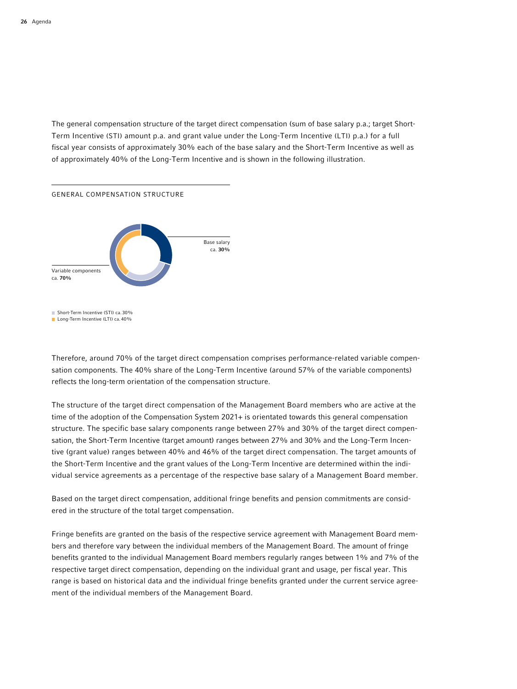The general compensation structure of the target direct compensation (sum of base salary p.a.; target Short-Term Incentive (STI) amount p.a. and grant value under the Long-Term Incentive (LTI) p.a.) for a full fiscal year consists of approximately 30% each of the base salary and the Short-Term Incentive as well as of approximately 40% of the Long-Term Incentive and is shown in the following illustration.



Therefore, around 70% of the target direct compensation comprises performance-related variable compensation components. The 40% share of the Long-Term Incentive (around 57% of the variable components) reflects the long-term orientation of the compensation structure.

The structure of the target direct compensation of the Management Board members who are active at the time of the adoption of the Compensation System 2021+ is orientated towards this general compensation structure. The specific base salary components range between 27% and 30% of the target direct compensation, the Short-Term Incentive (target amount) ranges between 27% and 30% and the Long-Term Incentive (grant value) ranges between 40% and 46% of the target direct compensation. The target amounts of the Short-Term Incentive and the grant values of the Long-Term Incentive are determined within the individual service agreements as a percentage of the respective base salary of a Management Board member.

Based on the target direct compensation, additional fringe benefits and pension commitments are considered in the structure of the total target compensation.

Fringe benefits are granted on the basis of the respective service agreement with Management Board members and therefore vary between the individual members of the Management Board. The amount of fringe benefits granted to the individual Management Board members regularly ranges between 1% and 7% of the respective target direct compensation, depending on the individual grant and usage, per fiscal year. This range is based on historical data and the individual fringe benefits granted under the current service agreement of the individual members of the Management Board.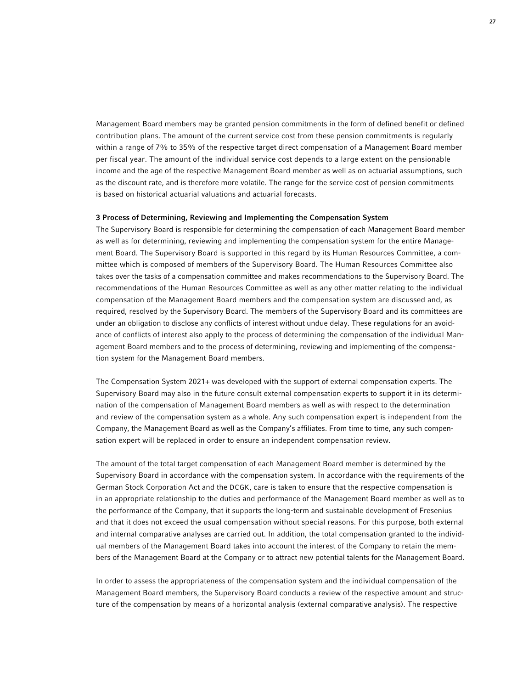Management Board members may be granted pension commitments in the form of defined benefit or defined contribution plans. The amount of the current service cost from these pension commitments is regularly within a range of 7% to 35% of the respective target direct compensation of a Management Board member per fiscal year. The amount of the individual service cost depends to a large extent on the pensionable income and the age of the respective Management Board member as well as on actuarial assumptions, such as the discount rate, and is therefore more volatile. The range for the service cost of pension commitments is based on historical actuarial valuations and actuarial forecasts.

#### 3 Process of Determining, Reviewing and Implementing the Compensation System

The Supervisory Board is responsible for determining the compensation of each Management Board member as well as for determining, reviewing and implementing the compensation system for the entire Management Board. The Supervisory Board is supported in this regard by its Human Resources Committee, a committee which is composed of members of the Supervisory Board. The Human Resources Committee also takes over the tasks of a compensation committee and makes recommendations to the Supervisory Board. The recommendations of the Human Resources Committee as well as any other matter relating to the individual compensation of the Management Board members and the compensation system are discussed and, as required, resolved by the Supervisory Board. The members of the Supervisory Board and its committees are under an obligation to disclose any conflicts of interest without undue delay. These regulations for an avoidance of conflicts of interest also apply to the process of determining the compensation of the individual Management Board members and to the process of determining, reviewing and implementing of the compensation system for the Management Board members.

The Compensation System 2021+ was developed with the support of external compensation experts. The Supervisory Board may also in the future consult external compensation experts to support it in its determination of the compensation of Management Board members as well as with respect to the determination and review of the compensation system as a whole. Any such compensation expert is independent from the Company, the Management Board as well as the Company's affiliates. From time to time, any such compensation expert will be replaced in order to ensure an independent compensation review.

The amount of the total target compensation of each Management Board member is determined by the Supervisory Board in accordance with the compensation system. In accordance with the requirements of the German Stock Corporation Act and the DCGK, care is taken to ensure that the respective compensation is in an appropriate relationship to the duties and performance of the Management Board member as well as to the performance of the Company, that it supports the long-term and sustainable development of Fresenius and that it does not exceed the usual compensation without special reasons. For this purpose, both external and internal comparative analyses are carried out. In addition, the total compensation granted to the individual members of the Management Board takes into account the interest of the Company to retain the members of the Management Board at the Company or to attract new potential talents for the Management Board.

In order to assess the appropriateness of the compensation system and the individual compensation of the Management Board members, the Supervisory Board conducts a review of the respective amount and structure of the compensation by means of a horizontal analysis (external comparative analysis). The respective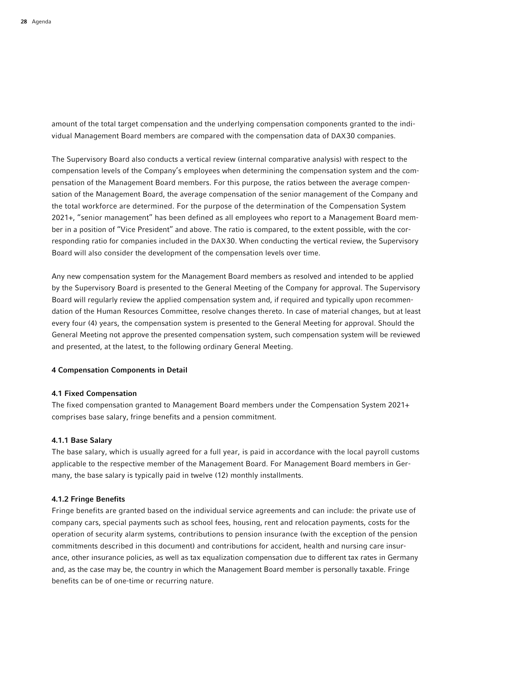amount of the total target compensation and the underlying compensation components granted to the individual Management Board members are compared with the compensation data of DAX30 companies.

The Supervisory Board also conducts a vertical review (internal comparative analysis) with respect to the compensation levels of the Company's employees when determining the compensation system and the compensation of the Management Board members. For this purpose, the ratios between the average compensation of the Management Board, the average compensation of the senior management of the Company and the total workforce are determined. For the purpose of the determination of the Compensation System 2021+, "senior management" has been defined as all employees who report to a Management Board member in a position of "Vice President" and above. The ratio is compared, to the extent possible, with the corresponding ratio for companies included in the DAX30. When conducting the vertical review, the Supervisory Board will also consider the development of the compensation levels over time.

Any new compensation system for the Management Board members as resolved and intended to be applied by the Supervisory Board is presented to the General Meeting of the Company for approval. The Supervisory Board will regularly review the applied compensation system and, if required and typically upon recommendation of the Human Resources Committee, resolve changes thereto. In case of material changes, but at least every four (4) years, the compensation system is presented to the General Meeting for approval. Should the General Meeting not approve the presented compensation system, such compensation system will be reviewed and presented, at the latest, to the following ordinary General Meeting.

#### 4 Compensation Components in Detail

#### 4.1 Fixed Compensation

The fixed compensation granted to Management Board members under the Compensation System 2021+ comprises base salary, fringe benefits and a pension commitment.

#### 4.1.1 Base Salary

The base salary, which is usually agreed for a full year, is paid in accordance with the local payroll customs applicable to the respective member of the Management Board. For Management Board members in Germany, the base salary is typically paid in twelve (12) monthly installments.

#### 4.1.2 Fringe Benefits

Fringe benefits are granted based on the individual service agreements and can include: the private use of company cars, special payments such as school fees, housing, rent and relocation payments, costs for the operation of security alarm systems, contributions to pension insurance (with the exception of the pension commitments described in this document) and contributions for accident, health and nursing care insurance, other insurance policies, as well as tax equalization compensation due to different tax rates in Germany and, as the case may be, the country in which the Management Board member is personally taxable. Fringe benefits can be of one-time or recurring nature.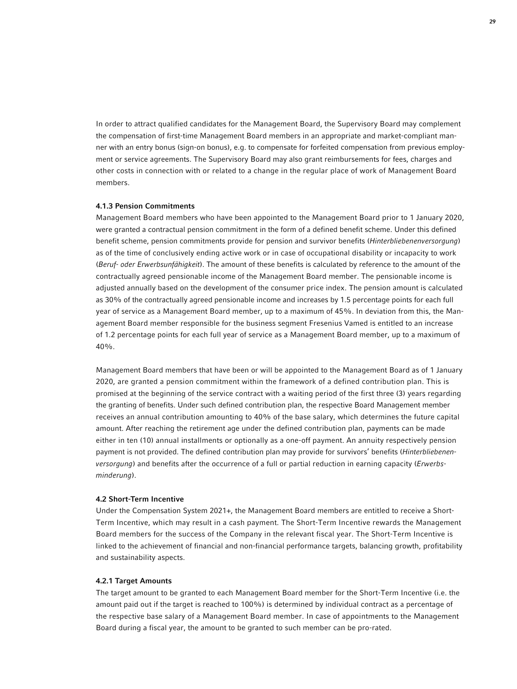In order to attract qualified candidates for the Management Board, the Supervisory Board may complement the compensation of first-time Management Board members in an appropriate and market-compliant manner with an entry bonus (sign-on bonus), e.g. to compensate for forfeited compensation from previous employment or service agreements. The Supervisory Board may also grant reimbursements for fees, charges and other costs in connection with or related to a change in the regular place of work of Management Board members.

#### 4.1.3 Pension Commitments

Management Board members who have been appointed to the Management Board prior to 1 January 2020, were granted a contractual pension commitment in the form of a defined benefit scheme. Under this defined benefit scheme, pension commitments provide for pension and survivor benefits (*Hinterbliebenenversorgung*) as of the time of conclusively ending active work or in case of occupational disability or incapacity to work (*Beruf- oder Erwerbsunfähigkeit*). The amount of these benefits is calculated by reference to the amount of the contractually agreed pensionable income of the Management Board member. The pensionable income is adjusted annually based on the development of the consumer price index. The pension amount is calculated as 30% of the contractually agreed pensionable income and increases by 1.5 percentage points for each full year of service as a Management Board member, up to a maximum of 45%. In deviation from this, the Management Board member responsible for the business segment Fresenius Vamed is entitled to an increase of 1.2 percentage points for each full year of service as a Management Board member, up to a maximum of 40%.

Management Board members that have been or will be appointed to the Management Board as of 1 January 2020, are granted a pension commitment within the framework of a defined contribution plan. This is promised at the beginning of the service contract with a waiting period of the first three (3) years regarding the granting of benefits. Under such defined contribution plan, the respective Board Management member receives an annual contribution amounting to 40% of the base salary, which determines the future capital amount. After reaching the retirement age under the defined contribution plan, payments can be made either in ten (10) annual installments or optionally as a one-off payment. An annuity respectively pension payment is not provided. The defined contribution plan may provide for survivors' benefits (*Hinterbliebenenversorgung*) and benefits after the occurrence of a full or partial reduction in earning capacity (*Erwerbsminderung*).

# 4.2 Short-Term Incentive

Under the Compensation System 2021+, the Management Board members are entitled to receive a Short-Term Incentive, which may result in a cash payment. The Short-Term Incentive rewards the Management Board members for the success of the Company in the relevant fiscal year. The Short-Term Incentive is linked to the achievement of financial and non-financial performance targets, balancing growth, profitability and sustainability aspects.

# 4.2.1 Target Amounts

The target amount to be granted to each Management Board member for the Short-Term Incentive (i.e. the amount paid out if the target is reached to 100%) is determined by individual contract as a percentage of the respective base salary of a Management Board member. In case of appointments to the Management Board during a fiscal year, the amount to be granted to such member can be pro-rated.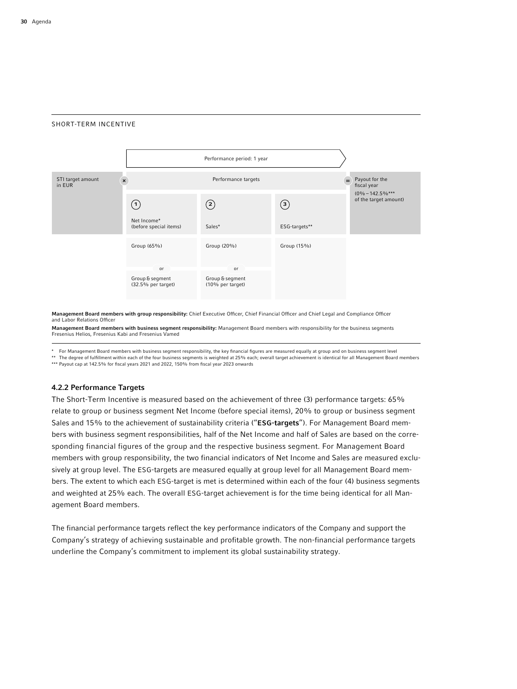#### SHORT-TERM INCENTIVE



Management Board members with group responsibility: Chief Executive Officer, Chief Financial Officer and Chief Legal and Compliance Officer and Labor Relations Officer

Management Board members with business segment responsibility: Management Board members with responsibility for the business segments Fresenius Helios, Fresenius Kabi and Fresenius Vamed

\* For Management Board members with business segment responsibility, the key financial figures are measured equally at group and on business segment level

\*\* The degree of fulfillment within each of the four business segments is weighted at 25% each; overall target achievement is identical for all Management Board members \*\*\* Payout cap at 142.5% for fiscal years 2021 and 2022, 150% from fiscal year 2023 onwards

#### 4.2.2 Performance Targets

The Short-Term Incentive is measured based on the achievement of three (3) performance targets: 65% relate to group or business segment Net Income (before special items), 20% to group or business segment Sales and 15% to the achievement of sustainability criteria ("ESG-targets"). For Management Board members with business segment responsibilities, half of the Net Income and half of Sales are based on the corresponding financial figures of the group and the respective business segment. For Management Board members with group responsibility, the two financial indicators of Net Income and Sales are measured exclusively at group level. The ESG-targets are measured equally at group level for all Management Board members. The extent to which each ESG-target is met is determined within each of the four (4) business segments and weighted at 25% each. The overall ESG-target achievement is for the time being identical for all Management Board members.

The financial performance targets reflect the key performance indicators of the Company and support the Company's strategy of achieving sustainable and profitable growth. The non-financial performance targets underline the Company's commitment to implement its global sustainability strategy.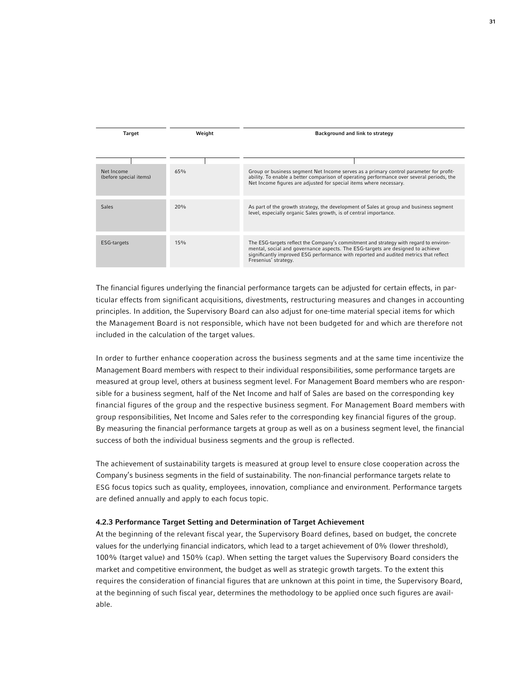| Target                               | Weight | Background and link to strategy                                                                                                                                                                                                                                                          |
|--------------------------------------|--------|------------------------------------------------------------------------------------------------------------------------------------------------------------------------------------------------------------------------------------------------------------------------------------------|
|                                      |        |                                                                                                                                                                                                                                                                                          |
|                                      |        |                                                                                                                                                                                                                                                                                          |
| Net Income<br>(before special items) | 65%    | Group or business segment Net Income serves as a primary control parameter for profit-<br>ability. To enable a better comparison of operating performance over several periods, the<br>Net Income figures are adjusted for special items where necessary.                                |
|                                      |        |                                                                                                                                                                                                                                                                                          |
| <b>Sales</b>                         | 20%    | As part of the growth strategy, the development of Sales at group and business segment<br>level, especially organic Sales growth, is of central importance.                                                                                                                              |
|                                      |        |                                                                                                                                                                                                                                                                                          |
| ESG-targets                          | 15%    | The ESG-targets reflect the Company's commitment and strategy with regard to environ-<br>mental, social and governance aspects. The ESG-targets are designed to achieve<br>significantly improved ESG performance with reported and audited metrics that reflect<br>Fresenius' strategy. |

The financial figures underlying the financial performance targets can be adjusted for certain effects, in particular effects from significant acquisitions, divestments, restructuring measures and changes in accounting principles. In addition, the Supervisory Board can also adjust for one-time material special items for which the Management Board is not responsible, which have not been budgeted for and which are therefore not included in the calculation of the target values.

In order to further enhance cooperation across the business segments and at the same time incentivize the Management Board members with respect to their individual responsibilities, some performance targets are measured at group level, others at business segment level. For Management Board members who are responsible for a business segment, half of the Net Income and half of Sales are based on the corresponding key financial figures of the group and the respective business segment. For Management Board members with group responsibilities, Net Income and Sales refer to the corresponding key financial figures of the group. By measuring the financial performance targets at group as well as on a business segment level, the financial success of both the individual business segments and the group is reflected.

The achievement of sustainability targets is measured at group level to ensure close cooperation across the Company's business segments in the field of sustainability. The non-financial performance targets relate to ESG focus topics such as quality, employees, innovation, compliance and environment. Performance targets are defined annually and apply to each focus topic.

### 4.2.3 Performance Target Setting and Determination of Target Achievement

At the beginning of the relevant fiscal year, the Supervisory Board defines, based on budget, the concrete values for the underlying financial indicators, which lead to a target achievement of 0% (lower threshold), 100% (target value) and 150% (cap). When setting the target values the Supervisory Board considers the market and competitive environment, the budget as well as strategic growth targets. To the extent this requires the consideration of financial figures that are unknown at this point in time, the Supervisory Board, at the beginning of such fiscal year, determines the methodology to be applied once such figures are available.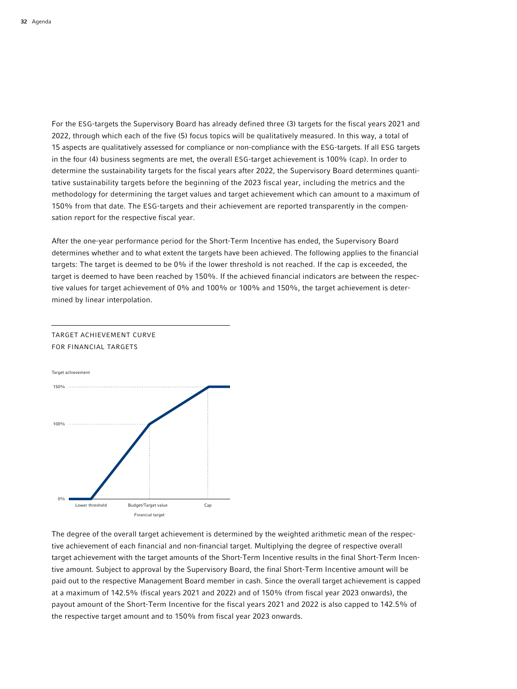For the ESG-targets the Supervisory Board has already defined three (3) targets for the fiscal years 2021 and 2022, through which each of the five (5) focus topics will be qualitatively measured. In this way, a total of 15 aspects are qualitatively assessed for compliance or non-compliance with the ESG-targets. If all ESG targets in the four (4) business segments are met, the overall ESG-target achievement is 100% (cap). In order to determine the sustainability targets for the fiscal years after 2022, the Supervisory Board determines quantitative sustainability targets before the beginning of the 2023 fiscal year, including the metrics and the methodology for determining the target values and target achievement which can amount to a maximum of 150% from that date. The ESG-targets and their achievement are reported transparently in the compensation report for the respective fiscal year.

After the one-year performance period for the Short-Term Incentive has ended, the Supervisory Board determines whether and to what extent the targets have been achieved. The following applies to the financial targets: The target is deemed to be 0% if the lower threshold is not reached. If the cap is exceeded, the target is deemed to have been reached by 150%. If the achieved financial indicators are between the respective values for target achievement of 0% and 100% or 100% and 150%, the target achievement is determined by linear interpolation.



TARGET ACHIEVEMENT CURVE FOR FINANCIAL TARGETS

The degree of the overall target achievement is determined by the weighted arithmetic mean of the respective achievement of each financial and non-financial target. Multiplying the degree of respective overall target achievement with the target amounts of the Short-Term Incentive results in the final Short-Term Incentive amount. Subject to approval by the Supervisory Board, the final Short-Term Incentive amount will be paid out to the respective Management Board member in cash. Since the overall target achievement is capped at a maximum of 142.5% (fiscal years 2021 and 2022) and of 150% (from fiscal year 2023 onwards), the payout amount of the Short-Term Incentive for the fiscal years 2021 and 2022 is also capped to 142.5% of the respective target amount and to 150% from fiscal year 2023 onwards.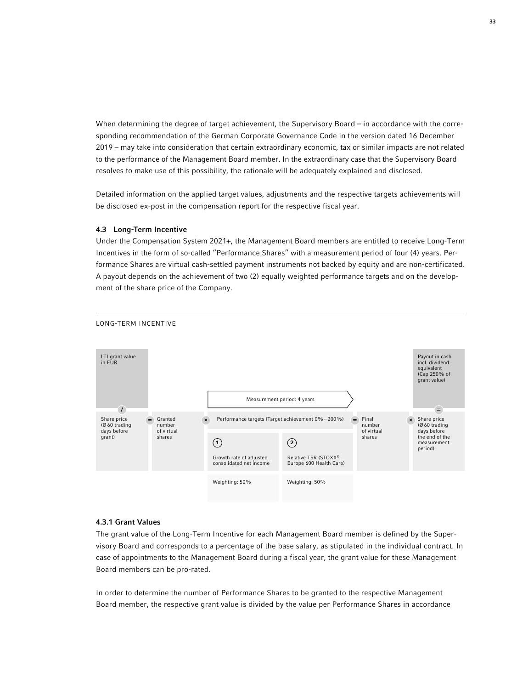When determining the degree of target achievement, the Supervisory Board – in accordance with the corresponding recommendation of the German Corporate Governance Code in the version dated 16 December 2019 – may take into consideration that certain extraordinary economic, tax or similar impacts are not related to the performance of the Management Board member. In the extraordinary case that the Supervisory Board resolves to make use of this possibility, the rationale will be adequately explained and disclosed.

Detailed information on the applied target values, adjustments and the respective targets achievements will be disclosed ex-post in the compensation report for the respective fiscal year.

## 4.3 Long-Term Incentive

Under the Compensation System 2021+, the Management Board members are entitled to receive Long-Term Incentives in the form of so-called "Performance Shares" with a measurement period of four (4) years. Performance Shares are virtual cash-settled payment instruments not backed by equity and are non-certificated. A payout depends on the achievement of two (2) equally weighted performance targets and on the development of the share price of the Company.



## LONG-TERM INCENTIVE

### 4.3.1 Grant Values

The grant value of the Long-Term Incentive for each Management Board member is defined by the Supervisory Board and corresponds to a percentage of the base salary, as stipulated in the individual contract. In case of appointments to the Management Board during a fiscal year, the grant value for these Management Board members can be pro-rated.

In order to determine the number of Performance Shares to be granted to the respective Management Board member, the respective grant value is divided by the value per Performance Shares in accordance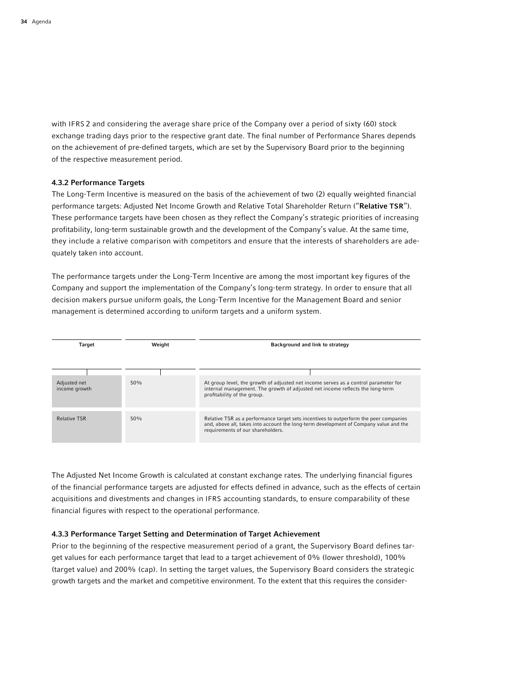with IFRS 2 and considering the average share price of the Company over a period of sixty (60) stock exchange trading days prior to the respective grant date. The final number of Performance Shares depends on the achievement of pre-defined targets, which are set by the Supervisory Board prior to the beginning of the respective measurement period.

# 4.3.2 Performance Targets

The Long-Term Incentive is measured on the basis of the achievement of two (2) equally weighted financial performance targets: Adjusted Net Income Growth and Relative Total Shareholder Return ("Relative TSR"). These performance targets have been chosen as they reflect the Company's strategic priorities of increasing profitability, long-term sustainable growth and the development of the Company's value. At the same time, they include a relative comparison with competitors and ensure that the interests of shareholders are adequately taken into account.

The performance targets under the Long-Term Incentive are among the most important key figures of the Company and support the implementation of the Company's long-term strategy. In order to ensure that all decision makers pursue uniform goals, the Long-Term Incentive for the Management Board and senior management is determined according to uniform targets and a uniform system.

| Target                        | Weight | Background and link to strategy                                                                                                                                                                                     |  |
|-------------------------------|--------|---------------------------------------------------------------------------------------------------------------------------------------------------------------------------------------------------------------------|--|
|                               |        |                                                                                                                                                                                                                     |  |
|                               |        |                                                                                                                                                                                                                     |  |
| Adjusted net<br>income growth | 50%    | At group level, the growth of adjusted net income serves as a control parameter for<br>internal management. The growth of adjusted net income reflects the long-term<br>profitability of the group.                 |  |
|                               |        |                                                                                                                                                                                                                     |  |
| <b>Relative TSR</b>           | 50%    | Relative TSR as a performance target sets incentives to outperform the peer companies<br>and, above all, takes into account the long-term development of Company value and the<br>requirements of our shareholders. |  |

The Adjusted Net Income Growth is calculated at constant exchange rates. The underlying financial figures of the financial performance targets are adjusted for effects defined in advance, such as the effects of certain acquisitions and divestments and changes in IFRS accounting standards, to ensure comparability of these financial figures with respect to the operational performance.

## 4.3.3 Performance Target Setting and Determination of Target Achievement

Prior to the beginning of the respective measurement period of a grant, the Supervisory Board defines target values for each performance target that lead to a target achievement of 0% (lower threshold), 100% (target value) and 200% (cap). In setting the target values, the Supervisory Board considers the strategic growth targets and the market and competitive environment. To the extent that this requires the consider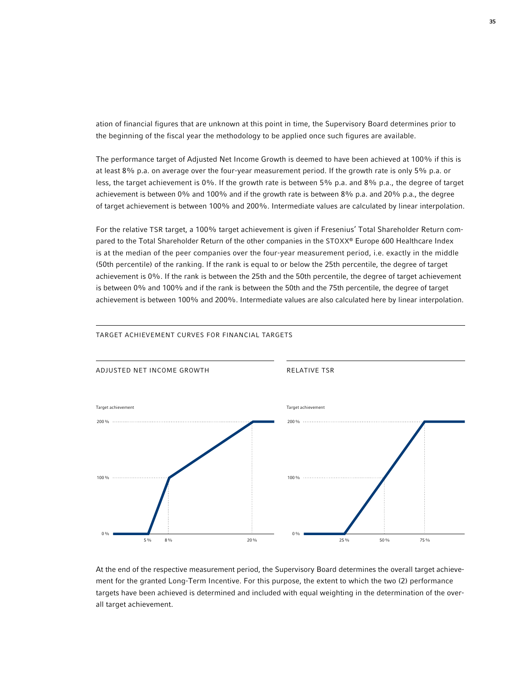ation of financial figures that are unknown at this point in time, the Supervisory Board determines prior to the beginning of the fiscal year the methodology to be applied once such figures are available.

The performance target of Adjusted Net Income Growth is deemed to have been achieved at 100% if this is at least 8% p.a. on average over the four-year measurement period. If the growth rate is only 5% p.a. or less, the target achievement is 0%. If the growth rate is between 5% p.a. and 8% p.a., the degree of target achievement is between 0% and 100% and if the growth rate is between 8% p.a. and 20% p.a., the degree of target achievement is between 100% and 200%. Intermediate values are calculated by linear interpolation.

For the relative TSR target, a 100% target achievement is given if Fresenius' Total Shareholder Return compared to the Total Shareholder Return of the other companies in the STOXX® Europe 600 Healthcare Index is at the median of the peer companies over the four-year measurement period, i.e. exactly in the middle (50th percentile) of the ranking. If the rank is equal to or below the 25th percentile, the degree of target achievement is 0%. If the rank is between the 25th and the 50th percentile, the degree of target achievement is between 0% and 100% and if the rank is between the 50th and the 75th percentile, the degree of target achievement is between 100% and 200%. Intermediate values are also calculated here by linear interpolation.



#### TARGET ACHIEVEMENT CURVES FOR FINANCIAL TARGETS

At the end of the respective measurement period, the Supervisory Board determines the overall target achievement for the granted Long-Term Incentive. For this purpose, the extent to which the two (2) performance targets have been achieved is determined and included with equal weighting in the determination of the overall target achievement.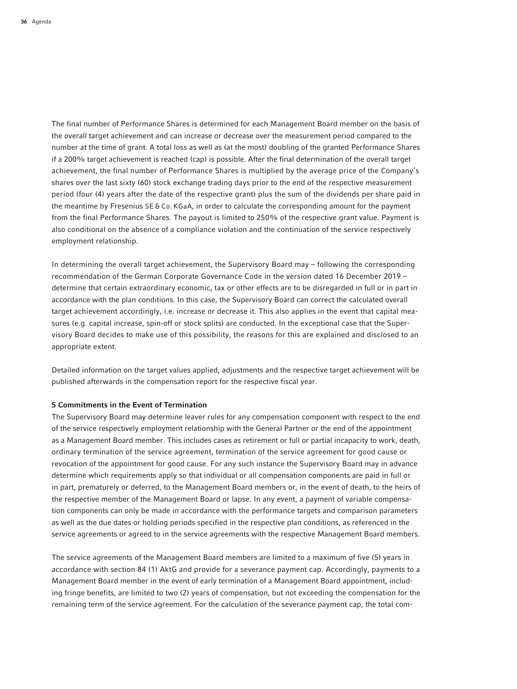The final number of Performance Shares is determined for each Management Board member on the basis of the overall target achievement and can increase or decrease over the measurement period compared to the number at the time of grant. A total loss as well as (at the most) doubling of the granted Performance Shares if a 200% target achievement is reached (cap) is possible. After the final determination of the overall target achievement, the final number of Performance Shares is multiplied by the average price of the Company's shares over the last sixty (60) stock exchange trading days prior to the end of the respective measurement period (four (4) years after the date of the respective grant) plus the sum of the dividends per share paid in the meantime by Fresenius SE & Co. KGaA, in order to calculate the corresponding amount for the payment from the final Performance Shares. The payout is limited to 250% of the respective grant value. Payment is also conditional on the absence of a compliance violation and the continuation of the service respectively employment relationship.

In determining the overall target achievement, the Supervisory Board may – following the corresponding recommendation of the German Corporate Governance Code in the version dated 16 December 2019 – determine that certain extraordinary economic, tax or other effects are to be disregarded in full or in part in accordance with the plan conditions. In this case, the Supervisory Board can correct the calculated overall target achievement accordingly, i.e. increase or decrease it. This also applies in the event that capital measures (e.g. capital increase, spin-off or stock splits) are conducted. In the exceptional case that the Supervisory Board decides to make use of this possibility, the reasons for this are explained and disclosed to an appropriate extent.

Detailed information on the target values applied, adjustments and the respective target achievement will be published afterwards in the compensation report for the respective fiscal year.

## 5 Commitments in the Event of Termination

The Supervisory Board may determine leaver rules for any compensation component with respect to the end of the service respectively employment relationship with the General Partner or the end of the appointment as a Management Board member. This includes cases as retirement or full or partial incapacity to work, death, ordinary termination of the service agreement, termination of the service agreement for good cause or revocation of the appointment for good cause. For any such instance the Supervisory Board may in advance determine which requirements apply so that individual or all compensation components are paid in full or in part, prematurely or deferred, to the Management Board members or, in the event of death, to the heirs of the respective member of the Management Board or lapse. In any event, a payment of variable compensation components can only be made in accordance with the performance targets and comparison parameters as well as the due dates or holding periods specified in the respective plan conditions, as referenced in the service agreements or agreed to in the service agreements with the respective Management Board members.

The service agreements of the Management Board members are limited to a maximum of five (5) years in accordance with section 84 (1) AktG and provide for a severance payment cap. Accordingly, payments to a Management Board member in the event of early termination of a Management Board appointment, including fringe benefits, are limited to two (2) years of compensation, but not exceeding the compensation for the remaining term of the service agreement. For the calculation of the severance payment cap, the total com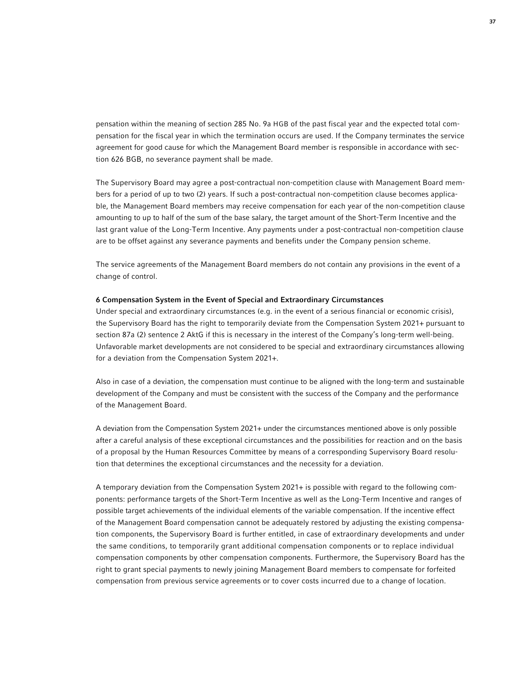pensation within the meaning of section 285 No. 9a HGB of the past fiscal year and the expected total compensation for the fiscal year in which the termination occurs are used. If the Company terminates the service agreement for good cause for which the Management Board member is responsible in accordance with section 626 BGB, no severance payment shall be made.

The Supervisory Board may agree a post-contractual non-competition clause with Management Board members for a period of up to two (2) years. If such a post-contractual non-competition clause becomes applicable, the Management Board members may receive compensation for each year of the non-competition clause amounting to up to half of the sum of the base salary, the target amount of the Short-Term Incentive and the last grant value of the Long-Term Incentive. Any payments under a post-contractual non-competition clause are to be offset against any severance payments and benefits under the Company pension scheme.

The service agreements of the Management Board members do not contain any provisions in the event of a change of control.

### 6 Compensation System in the Event of Special and Extraordinary Circumstances

Under special and extraordinary circumstances (e.g. in the event of a serious financial or economic crisis), the Supervisory Board has the right to temporarily deviate from the Compensation System 2021+ pursuant to section 87a (2) sentence 2 AktG if this is necessary in the interest of the Company's long-term well-being. Unfavorable market developments are not considered to be special and extraordinary circumstances allowing for a deviation from the Compensation System 2021+.

Also in case of a deviation, the compensation must continue to be aligned with the long-term and sustainable development of the Company and must be consistent with the success of the Company and the performance of the Management Board.

A deviation from the Compensation System 2021+ under the circumstances mentioned above is only possible after a careful analysis of these exceptional circumstances and the possibilities for reaction and on the basis of a proposal by the Human Resources Committee by means of a corresponding Supervisory Board resolution that determines the exceptional circumstances and the necessity for a deviation.

A temporary deviation from the Compensation System 2021+ is possible with regard to the following components: performance targets of the Short-Term Incentive as well as the Long-Term Incentive and ranges of possible target achievements of the individual elements of the variable compensation. If the incentive effect of the Management Board compensation cannot be adequately restored by adjusting the existing compensation components, the Supervisory Board is further entitled, in case of extraordinary developments and under the same conditions, to temporarily grant additional compensation components or to replace individual compensation components by other compensation components. Furthermore, the Supervisory Board has the right to grant special payments to newly joining Management Board members to compensate for forfeited compensation from previous service agreements or to cover costs incurred due to a change of location.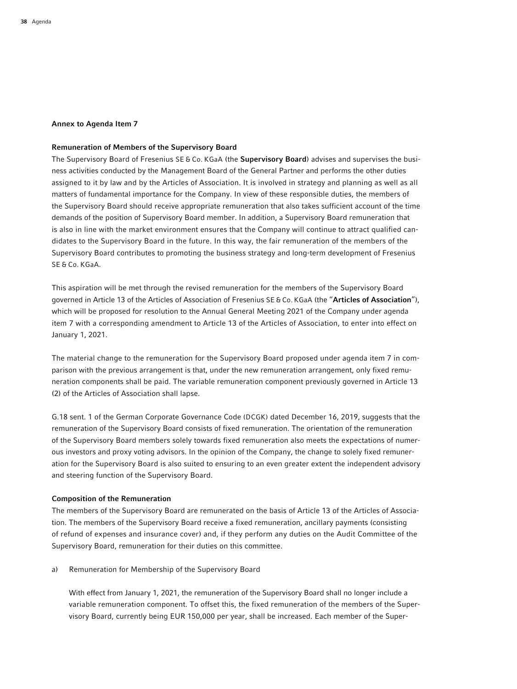### Annex to Agenda Item 7

### Remuneration of Members of the Supervisory Board

The Supervisory Board of Fresenius SE & Co. KGaA (the Supervisory Board) advises and supervises the business activities conducted by the Management Board of the General Partner and performs the other duties assigned to it by law and by the Articles of Association. It is involved in strategy and planning as well as all matters of fundamental importance for the Company. In view of these responsible duties, the members of the Supervisory Board should receive appropriate remuneration that also takes sufficient account of the time demands of the position of Supervisory Board member. In addition, a Supervisory Board remuneration that is also in line with the market environment ensures that the Company will continue to attract qualified candidates to the Supervisory Board in the future. In this way, the fair remuneration of the members of the Supervisory Board contributes to promoting the business strategy and long-term development of Fresenius SE & Co. KGaA.

This aspiration will be met through the revised remuneration for the members of the Supervisory Board governed in Article 13 of the Articles of Association of Fresenius SE & Co. KGaA (the "Articles of Association"), which will be proposed for resolution to the Annual General Meeting 2021 of the Company under agenda item 7 with a corresponding amendment to Article 13 of the Articles of Association, to enter into effect on January 1, 2021.

The material change to the remuneration for the Supervisory Board proposed under agenda item 7 in comparison with the previous arrangement is that, under the new remuneration arrangement, only fixed remuneration components shall be paid. The variable remuneration component previously governed in Article 13 (2) of the Articles of Association shall lapse.

G.18 sent. 1 of the German Corporate Governance Code (DCGK) dated December 16, 2019, suggests that the remuneration of the Supervisory Board consists of fixed remuneration. The orientation of the remuneration of the Supervisory Board members solely towards fixed remuneration also meets the expectations of numerous investors and proxy voting advisors. In the opinion of the Company, the change to solely fixed remuneration for the Supervisory Board is also suited to ensuring to an even greater extent the independent advisory and steering function of the Supervisory Board.

### Composition of the Remuneration

The members of the Supervisory Board are remunerated on the basis of Article 13 of the Articles of Association. The members of the Supervisory Board receive a fixed remuneration, ancillary payments (consisting of refund of expenses and insurance cover) and, if they perform any duties on the Audit Committee of the Supervisory Board, remuneration for their duties on this committee.

a) Remuneration for Membership of the Supervisory Board

 With effect from January 1, 2021, the remuneration of the Supervisory Board shall no longer include a variable remuneration component. To offset this, the fixed remuneration of the members of the Supervisory Board, currently being EUR 150,000 per year, shall be increased. Each member of the Super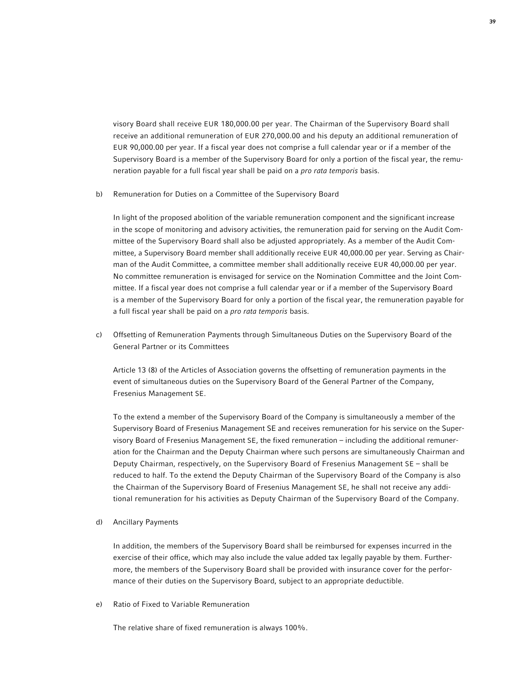visory Board shall receive EUR 180,000.00 per year. The Chairman of the Supervisory Board shall receive an additional remuneration of EUR 270,000.00 and his deputy an additional remuneration of EUR 90,000.00 per year. If a fiscal year does not comprise a full calendar year or if a member of the Supervisory Board is a member of the Supervisory Board for only a portion of the fiscal year, the remuneration payable for a full fiscal year shall be paid on a *pro rata temporis* basis.

### b) Remuneration for Duties on a Committee of the Supervisory Board

 In light of the proposed abolition of the variable remuneration component and the significant increase in the scope of monitoring and advisory activities, the remuneration paid for serving on the Audit Committee of the Supervisory Board shall also be adjusted appropriately. As a member of the Audit Committee, a Supervisory Board member shall additionally receive EUR 40,000.00 per year. Serving as Chairman of the Audit Committee, a committee member shall additionally receive EUR 40,000.00 per year. No committee remuneration is envisaged for service on the Nomination Committee and the Joint Committee. If a fiscal year does not comprise a full calendar year or if a member of the Supervisory Board is a member of the Supervisory Board for only a portion of the fiscal year, the remuneration payable for a full fiscal year shall be paid on a *pro rata temporis* basis.

c) Offsetting of Remuneration Payments through Simultaneous Duties on the Supervisory Board of the General Partner or its Committees

 Article 13 (8) of the Articles of Association governs the offsetting of remuneration payments in the event of simultaneous duties on the Supervisory Board of the General Partner of the Company, Fresenius Management SE.

 To the extend a member of the Supervisory Board of the Company is simultaneously a member of the Supervisory Board of Fresenius Management SE and receives remuneration for his service on the Supervisory Board of Fresenius Management SE, the fixed remuneration – including the additional remuneration for the Chairman and the Deputy Chairman where such persons are simultaneously Chairman and Deputy Chairman, respectively, on the Supervisory Board of Fresenius Management SE – shall be reduced to half. To the extend the Deputy Chairman of the Supervisory Board of the Company is also the Chairman of the Supervisory Board of Fresenius Management SE, he shall not receive any additional remuneration for his activities as Deputy Chairman of the Supervisory Board of the Company.

#### d) Ancillary Payments

 In addition, the members of the Supervisory Board shall be reimbursed for expenses incurred in the exercise of their office, which may also include the value added tax legally payable by them. Furthermore, the members of the Supervisory Board shall be provided with insurance cover for the performance of their duties on the Supervisory Board, subject to an appropriate deductible.

e) Ratio of Fixed to Variable Remuneration

The relative share of fixed remuneration is always 100%.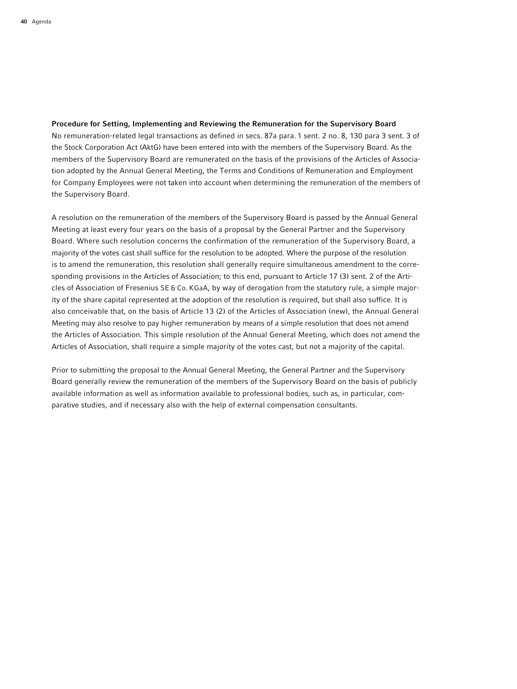### Procedure for Setting, Implementing and Reviewing the Remuneration for the Supervisory Board

No remuneration-related legal transactions as defined in secs. 87a para. 1 sent. 2 no. 8, 130 para 3 sent. 3 of the Stock Corporation Act (AktG) have been entered into with the members of the Supervisory Board. As the members of the Supervisory Board are remunerated on the basis of the provisions of the Articles of Association adopted by the Annual General Meeting, the Terms and Conditions of Remuneration and Employment for Company Employees were not taken into account when determining the remuneration of the members of the Supervisory Board.

A resolution on the remuneration of the members of the Supervisory Board is passed by the Annual General Meeting at least every four years on the basis of a proposal by the General Partner and the Supervisory Board. Where such resolution concerns the confirmation of the remuneration of the Supervisory Board, a majority of the votes cast shall suffice for the resolution to be adopted. Where the purpose of the resolution is to amend the remuneration, this resolution shall generally require simultaneous amendment to the corresponding provisions in the Articles of Association; to this end, pursuant to Article 17 (3) sent. 2 of the Articles of Association of Fresenius SE & Co. KGaA, by way of derogation from the statutory rule, a simple majority of the share capital represented at the adoption of the resolution is required, but shall also suffice. It is also conceivable that, on the basis of Article 13 (2) of the Articles of Association (new), the Annual General Meeting may also resolve to pay higher remuneration by means of a simple resolution that does not amend the Articles of Association. This simple resolution of the Annual General Meeting, which does not amend the Articles of Association, shall require a simple majority of the votes cast, but not a majority of the capital.

Prior to submitting the proposal to the Annual General Meeting, the General Partner and the Supervisory Board generally review the remuneration of the members of the Supervisory Board on the basis of publicly available information as well as information available to professional bodies, such as, in particular, comparative studies, and if necessary also with the help of external compensation consultants.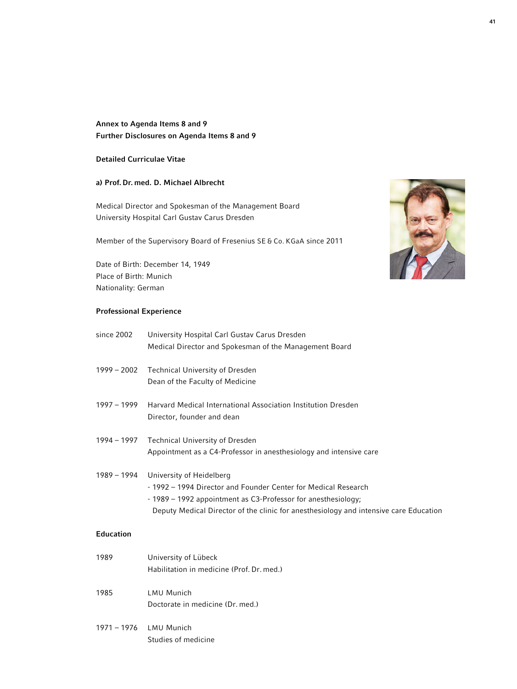# Annex to Agenda Items 8 and 9 Further Disclosures on Agenda Items 8 and 9

# Detailed Curriculae Vitae

# a) Prof. Dr. med. D. Michael Albrecht

Medical Director and Spokesman of the Management Board University Hospital Carl Gustav Carus Dresden

Member of the Supervisory Board of Fresenius SE & Co. KGaA since 2011

Date of Birth: December 14, 1949 Place of Birth: Munich Nationality: German

# Professional Experience

| since 2002       | University Hospital Carl Gustav Carus Dresden                                         |
|------------------|---------------------------------------------------------------------------------------|
|                  | Medical Director and Spokesman of the Management Board                                |
| $1999 - 2002$    | <b>Technical University of Dresden</b>                                                |
|                  | Dean of the Faculty of Medicine                                                       |
| $1997 - 1999$    | Harvard Medical International Association Institution Dresden                         |
|                  | Director, founder and dean                                                            |
| $1994 - 1997$    | <b>Technical University of Dresden</b>                                                |
|                  | Appointment as a C4-Professor in anesthesiology and intensive care                    |
| $1989 - 1994$    | University of Heidelberg                                                              |
|                  | - 1992 – 1994 Director and Founder Center for Medical Research                        |
|                  | - 1989 - 1992 appointment as C3-Professor for anesthesiology;                         |
|                  | Deputy Medical Director of the clinic for anesthesiology and intensive care Education |
| <b>Education</b> |                                                                                       |
| 1989             | University of Lübeck                                                                  |
|                  | Habilitation in medicine (Prof. Dr. med.)                                             |
| 1985             | <b>LMU Munich</b>                                                                     |
|                  | Doctorate in medicine (Dr. med.)                                                      |
| $1971 - 1976$    | <b>LMU Munich</b>                                                                     |
|                  | Studies of medicine                                                                   |
|                  |                                                                                       |

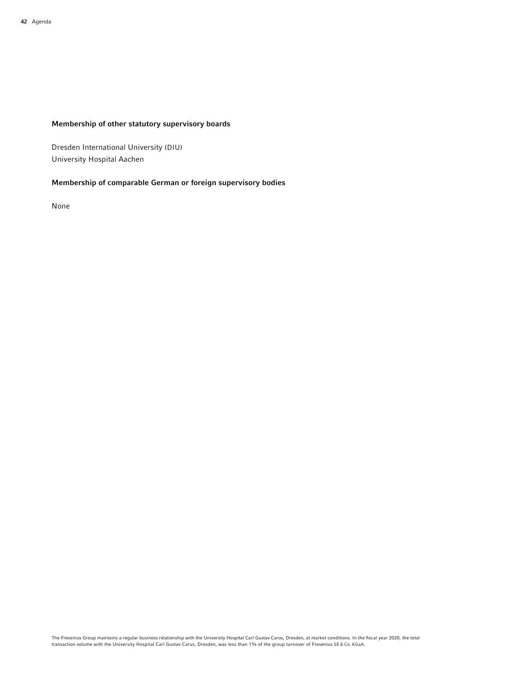# Membership of other statutory supervisory boards

Dresden International University (DIU) University Hospital Aachen

# Membership of comparable German or foreign supervisory bodies

None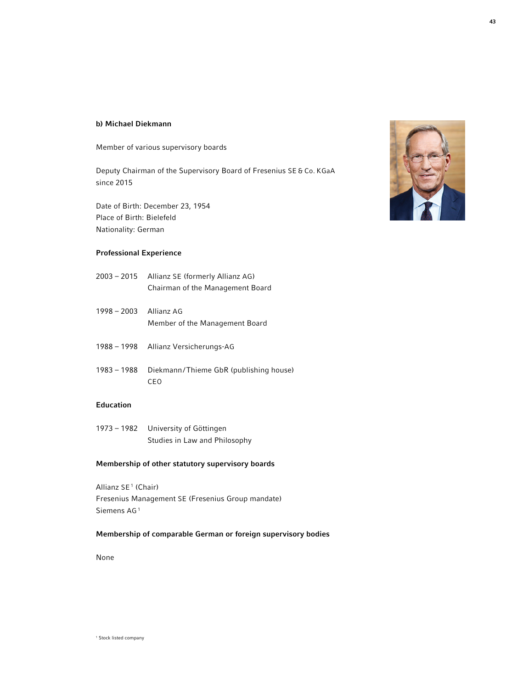#### b) Michael Diekmann

Member of various supervisory boards

Deputy Chairman of the Supervisory Board of Fresenius SE & Co. KGaA since 2015

Date of Birth: December 23, 1954 Place of Birth: Bielefeld Nationality: German

# Professional Experience

- 2003 2015 Allianz SE (formerly Allianz AG) Chairman of the Management Board
- 1998 2003 Allianz AG Member of the Management Board
- 1988 1998 Allianz Versicherungs-AG
- 1983 1988 Diekmann/Thieme GbR (publishing house) CEO

# Education

1973 – 1982 University of Göttingen Studies in Law and Philosophy

# Membership of other statutory supervisory boards

Allianz SE<sup>1</sup> (Chair) Fresenius Management SE (Fresenius Group mandate) Siemens AG<sup>1</sup>

# Membership of comparable German or foreign supervisory bodies

None



1 Stock listed company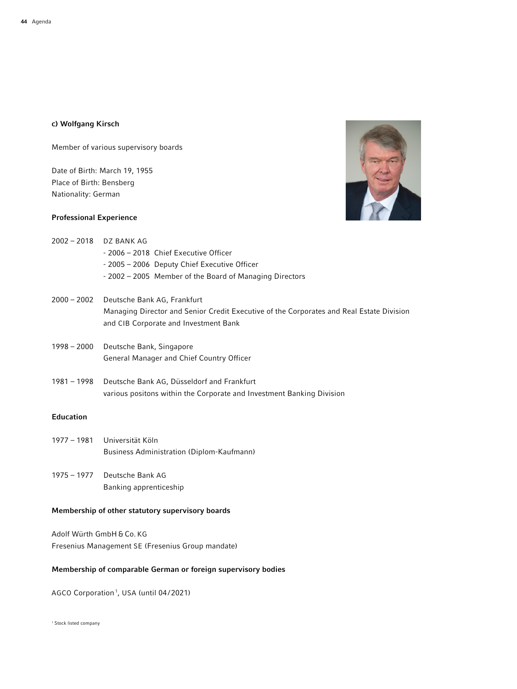# c) Wolfgang Kirsch

Member of various supervisory boards

Date of Birth: March 19, 1955 Place of Birth: Bensberg Nationality: German

# Professional Experience

2002 – 2018 DZ BANK AG



|                  | - 2006 - 2018 Chief Executive Officer                                                                                             |
|------------------|-----------------------------------------------------------------------------------------------------------------------------------|
|                  | - 2005 – 2006 Deputy Chief Executive Officer                                                                                      |
|                  | -2002 – 2005 Member of the Board of Managing Directors                                                                            |
| $2000 - 2002$    | Deutsche Bank AG, Frankfurt                                                                                                       |
|                  | Managing Director and Senior Credit Executive of the Corporates and Real Estate Division<br>and CIB Corporate and Investment Bank |
| 1998 - 2000      | Deutsche Bank, Singapore                                                                                                          |
|                  | <b>General Manager and Chief Country Officer</b>                                                                                  |
| $1981 - 1998$    | Deutsche Bank AG, Düsseldorf and Frankfurt                                                                                        |
|                  | various positons within the Corporate and Investment Banking Division                                                             |
| <b>Education</b> |                                                                                                                                   |
| 1977 – 1981      | Universität Köln                                                                                                                  |
|                  | Business Administration (Diplom-Kaufmann)                                                                                         |

1975 – 1977 Deutsche Bank AG Banking apprenticeship

# Membership of other statutory supervisory boards

Adolf Würth GmbH & Co. KG Fresenius Management SE (Fresenius Group mandate)

# Membership of comparable German or foreign supervisory bodies

AGCO Corporation<sup>1</sup>, USA (until 04/2021)

<sup>1</sup> Stock listed company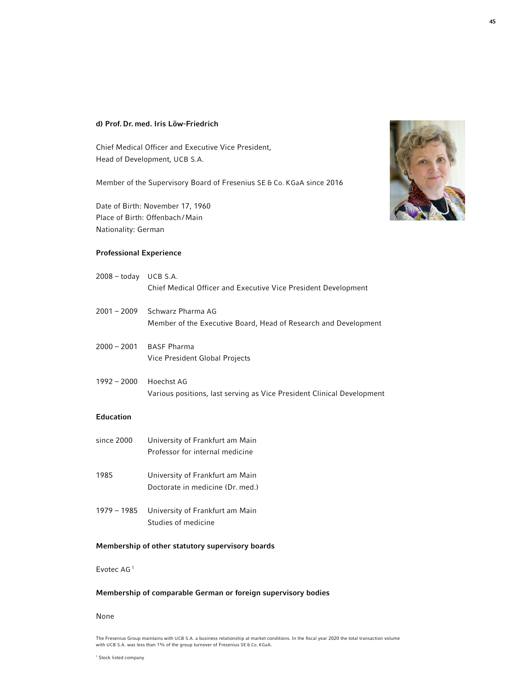# d) Prof. Dr. med. Iris Löw-Friedrich

Chief Medical Officer and Executive Vice President, Head of Development, UCB S.A.

Member of the Supervisory Board of Fresenius SE & Co. KGaA since 2016

Date of Birth: November 17, 1960 Place of Birth: Offenbach/Main Nationality: German

# Professional Experience

| 2008 - today UCB S.A. | Chief Medical Officer and Executive Vice President Development                                   |
|-----------------------|--------------------------------------------------------------------------------------------------|
|                       | 2001 – 2009 Schwarz Pharma AG<br>Member of the Executive Board, Head of Research and Development |
| 2000 - 2001           | BASF Pharma<br>Vice President Global Projects                                                    |
| $1992 - 2000$         | Hoechst AG<br>Various positions, last serving as Vice President Clinical Development             |
| Education             |                                                                                                  |
| since 2000            | University of Frankfurt am Main<br>Professor for internal medicine                               |
| 1985                  | University of Frankfurt am Main<br>Doctorate in medicine (Dr. med.)                              |
| 1979 – 1985           | University of Frankfurt am Main<br>Studies of medicine                                           |
|                       |                                                                                                  |

# Membership of other statutory supervisory boards

Evotec AG <sup>1</sup>

# Membership of comparable German or foreign supervisory bodies

# None

The Fresenius Group maintains with UCB S.A. a business relationship at market conditions. In the fiscal year 2020 the total transaction volume with UCB S.A. was less than 1% of the group turnover of Fresenius SE & Co. KGaA.

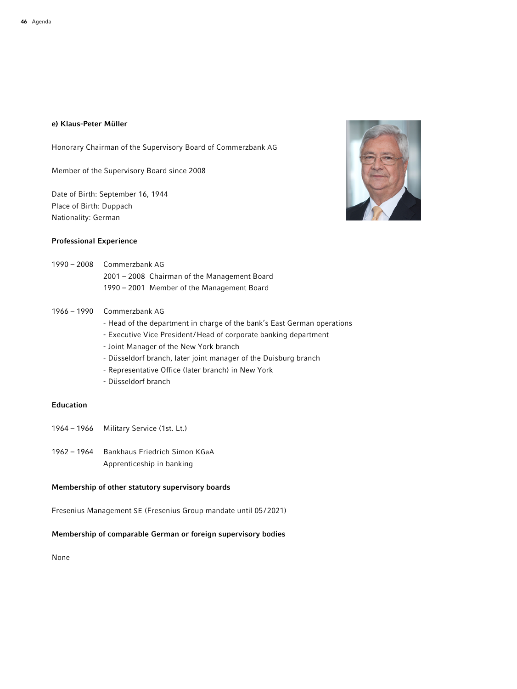# e) Klaus-Peter Müller

Honorary Chairman of the Supervisory Board of Commerzbank AG

Member of the Supervisory Board since 2008

Date of Birth: September 16, 1944 Place of Birth: Duppach Nationality: German

# Professional Experience



- 1990 2008 Commerzbank AG 2001 – 2008 Chairman of the Management Board 1990 – 2001 Member of the Management Board
- 1966 1990 Commerzbank AG
	- Head of the department in charge of the bank's East German operations
	- Executive Vice President/Head of corporate banking department
	- Joint Manager of the New York branch
	- Düsseldorf branch, later joint manager of the Duisburg branch
	- Representative Office (later branch) in New York
	- Düsseldorf branch

# Education

- 1964 1966 Military Service (1st. Lt.)
- 1962 1964 Bankhaus Friedrich Simon KGaA Apprenticeship in banking

# Membership of other statutory supervisory boards

Fresenius Management SE (Fresenius Group mandate until 05/2021)

## Membership of comparable German or foreign supervisory bodies

None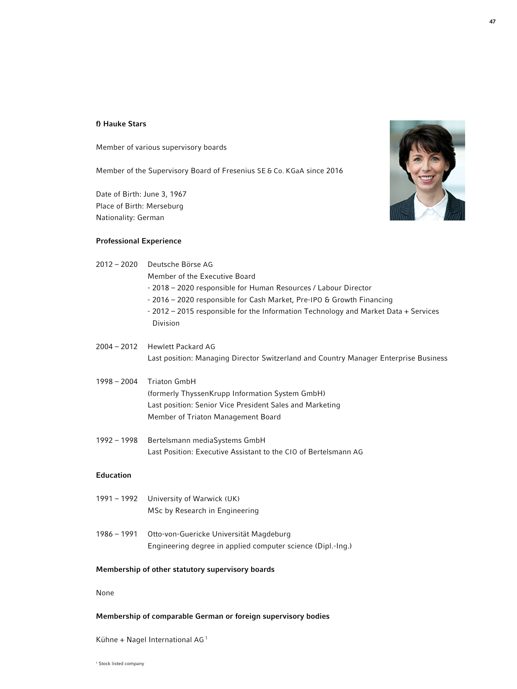## f) Hauke Stars

Member of various supervisory boards

Member of the Supervisory Board of Fresenius SE & Co. KGaA since 2016

Date of Birth: June 3, 1967 Place of Birth: Merseburg Nationality: German

# Professional Experience



| $2012 - 2020$    | Deutsche Börse AG                                                                    |
|------------------|--------------------------------------------------------------------------------------|
|                  | Member of the Executive Board                                                        |
|                  | - 2018 – 2020 responsible for Human Resources / Labour Director                      |
|                  | - 2016 – 2020 responsible for Cash Market, Pre-IPO & Growth Financing                |
|                  | - 2012 – 2015 responsible for the Information Technology and Market Data + Services  |
|                  | Division                                                                             |
| $2004 - 2012$    | Hewlett Packard AG                                                                   |
|                  | Last position: Managing Director Switzerland and Country Manager Enterprise Business |
| $1998 - 2004$    | <b>Triaton GmbH</b>                                                                  |
|                  | (formerly ThyssenKrupp Information System GmbH)                                      |
|                  | Last position: Senior Vice President Sales and Marketing                             |
|                  | Member of Triaton Management Board                                                   |
| $1992 - 1998$    | Bertelsmann mediaSystems GmbH                                                        |
|                  | Last Position: Executive Assistant to the CIO of Bertelsmann AG                      |
| <b>Education</b> |                                                                                      |
|                  | $1001 - 1002 - 1$ $\frac{1}{2}$                                                      |

# 1991 – 1992 University of Warwick (UK) MSc by Research in Engineering

1986 – 1991 Otto-von-Guericke Universität Magdeburg Engineering degree in applied computer science (Dipl.-Ing.)

### Membership of other statutory supervisory boards

None

# Membership of comparable German or foreign supervisory bodies

Kühne + Nagel International AG <sup>1</sup>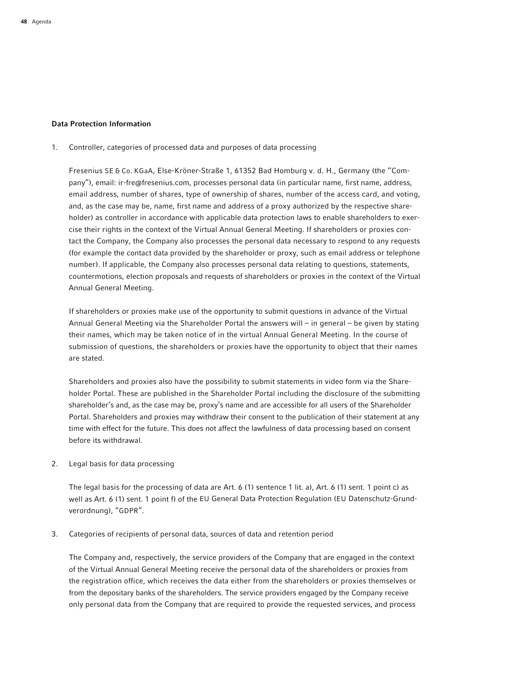### Data Protection Information

1. Controller, categories of processed data and purposes of data processing

 Fresenius SE & Co. KGaA, Else-Kröner-Straße 1, 61352 Bad Homburg v. d. H., Germany (the "Company"), email: ir-fre@fresenius.com, processes personal data (in particular name, first name, address, email address, number of shares, type of ownership of shares, number of the access card, and voting, and, as the case may be, name, first name and address of a proxy authorized by the respective shareholder) as controller in accordance with applicable data protection laws to enable shareholders to exercise their rights in the context of the Virtual Annual General Meeting. If shareholders or proxies contact the Company, the Company also processes the personal data necessary to respond to any requests (for example the contact data provided by the shareholder or proxy, such as email address or telephone number). If applicable, the Company also processes personal data relating to questions, statements, countermotions, election proposals and requests of shareholders or proxies in the context of the Virtual Annual General Meeting.

 If shareholders or proxies make use of the opportunity to submit questions in advance of the Virtual Annual General Meeting via the Shareholder Portal the answers will – in general – be given by stating their names, which may be taken notice of in the virtual Annual General Meeting. In the course of submission of questions, the shareholders or proxies have the opportunity to object that their names are stated.

 Shareholders and proxies also have the possibility to submit statements in video form via the Shareholder Portal. These are published in the Shareholder Portal including the disclosure of the submitting shareholder's and, as the case may be, proxy's name and are accessible for all users of the Shareholder Portal. Shareholders and proxies may withdraw their consent to the publication of their statement at any time with effect for the future. This does not affect the lawfulness of data processing based on consent before its withdrawal.

2. Legal basis for data processing

 The legal basis for the processing of data are Art. 6 (1) sentence 1 lit. a), Art. 6 (1) sent. 1 point c) as well as Art. 6 (1) sent. 1 point f) of the EU General Data Protection Regulation (EU Datenschutz-Grundverordnung), "GDPR".

3. Categories of recipients of personal data, sources of data and retention period

 The Company and, respectively, the service providers of the Company that are engaged in the context of the Virtual Annual General Meeting receive the personal data of the shareholders or proxies from the registration office, which receives the data either from the shareholders or proxies themselves or from the depositary banks of the shareholders. The service providers engaged by the Company receive only personal data from the Company that are required to provide the requested services, and process